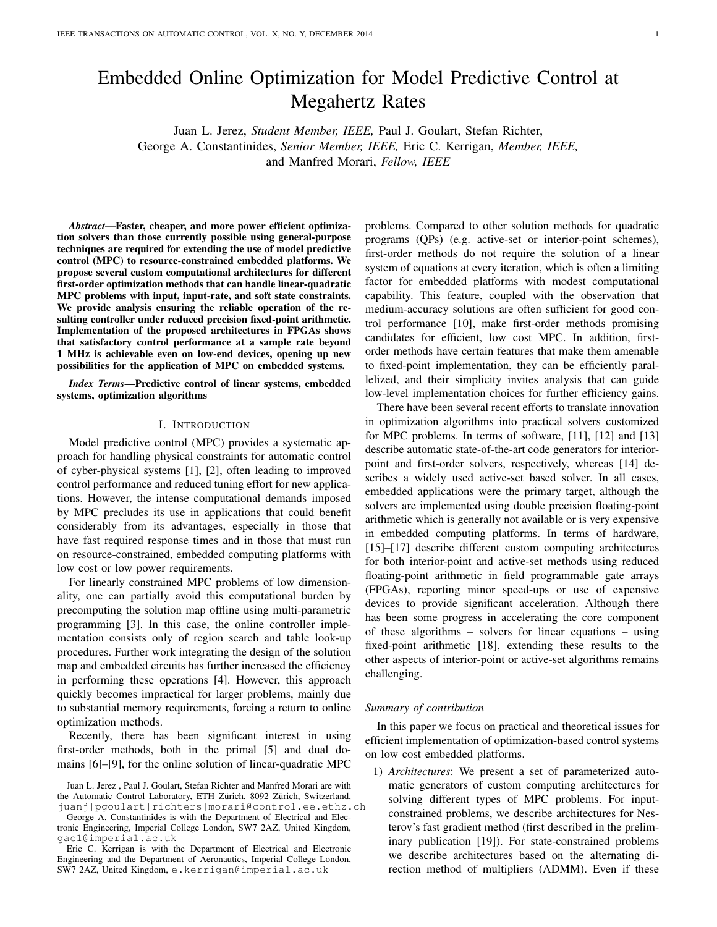# Embedded Online Optimization for Model Predictive Control at Megahertz Rates

Juan L. Jerez, *Student Member, IEEE,* Paul J. Goulart, Stefan Richter, George A. Constantinides, *Senior Member, IEEE,* Eric C. Kerrigan, *Member, IEEE,* and Manfred Morari, *Fellow, IEEE*

*Abstract*—Faster, cheaper, and more power efficient optimization solvers than those currently possible using general-purpose techniques are required for extending the use of model predictive control (MPC) to resource-constrained embedded platforms. We propose several custom computational architectures for different first-order optimization methods that can handle linear-quadratic MPC problems with input, input-rate, and soft state constraints. We provide analysis ensuring the reliable operation of the resulting controller under reduced precision fixed-point arithmetic. Implementation of the proposed architectures in FPGAs shows that satisfactory control performance at a sample rate beyond 1 MHz is achievable even on low-end devices, opening up new possibilities for the application of MPC on embedded systems.

*Index Terms*—Predictive control of linear systems, embedded systems, optimization algorithms

#### I. INTRODUCTION

Model predictive control (MPC) provides a systematic approach for handling physical constraints for automatic control of cyber-physical systems [1], [2], often leading to improved control performance and reduced tuning effort for new applications. However, the intense computational demands imposed by MPC precludes its use in applications that could benefit considerably from its advantages, especially in those that have fast required response times and in those that must run on resource-constrained, embedded computing platforms with low cost or low power requirements.

For linearly constrained MPC problems of low dimensionality, one can partially avoid this computational burden by precomputing the solution map offline using multi-parametric programming [3]. In this case, the online controller implementation consists only of region search and table look-up procedures. Further work integrating the design of the solution map and embedded circuits has further increased the efficiency in performing these operations [4]. However, this approach quickly becomes impractical for larger problems, mainly due to substantial memory requirements, forcing a return to online optimization methods.

Recently, there has been significant interest in using first-order methods, both in the primal [5] and dual domains [6]–[9], for the online solution of linear-quadratic MPC

George A. Constantinides is with the Department of Electrical and Electronic Engineering, Imperial College London, SW7 2AZ, United Kingdom, gac1@imperial.ac.uk

problems. Compared to other solution methods for quadratic programs (QPs) (e.g. active-set or interior-point schemes), first-order methods do not require the solution of a linear system of equations at every iteration, which is often a limiting factor for embedded platforms with modest computational capability. This feature, coupled with the observation that medium-accuracy solutions are often sufficient for good control performance [10], make first-order methods promising candidates for efficient, low cost MPC. In addition, firstorder methods have certain features that make them amenable to fixed-point implementation, they can be efficiently parallelized, and their simplicity invites analysis that can guide low-level implementation choices for further efficiency gains.

There have been several recent efforts to translate innovation in optimization algorithms into practical solvers customized for MPC problems. In terms of software, [11], [12] and [13] describe automatic state-of-the-art code generators for interiorpoint and first-order solvers, respectively, whereas [14] describes a widely used active-set based solver. In all cases, embedded applications were the primary target, although the solvers are implemented using double precision floating-point arithmetic which is generally not available or is very expensive in embedded computing platforms. In terms of hardware, [15]–[17] describe different custom computing architectures for both interior-point and active-set methods using reduced floating-point arithmetic in field programmable gate arrays (FPGAs), reporting minor speed-ups or use of expensive devices to provide significant acceleration. Although there has been some progress in accelerating the core component of these algorithms – solvers for linear equations – using fixed-point arithmetic [18], extending these results to the other aspects of interior-point or active-set algorithms remains challenging.

#### *Summary of contribution*

In this paper we focus on practical and theoretical issues for efficient implementation of optimization-based control systems on low cost embedded platforms.

1) *Architectures*: We present a set of parameterized automatic generators of custom computing architectures for solving different types of MPC problems. For inputconstrained problems, we describe architectures for Nesterov's fast gradient method (first described in the preliminary publication [19]). For state-constrained problems we describe architectures based on the alternating direction method of multipliers (ADMM). Even if these

Juan L. Jerez , Paul J. Goulart, Stefan Richter and Manfred Morari are with the Automatic Control Laboratory, ETH Zürich, 8092 Zürich, Switzerland, juanj|pgoulart|richters|morari@control.ee.ethz.ch

Eric C. Kerrigan is with the Department of Electrical and Electronic Engineering and the Department of Aeronautics, Imperial College London, SW7 2AZ, United Kingdom, e.kerrigan@imperial.ac.uk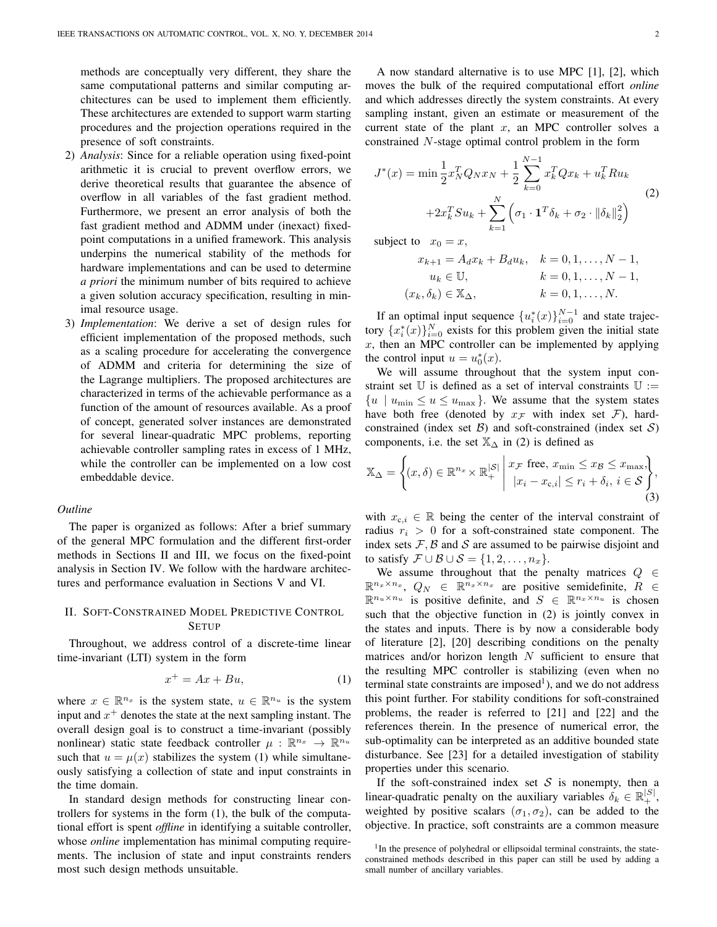methods are conceptually very different, they share the same computational patterns and similar computing architectures can be used to implement them efficiently. These architectures are extended to support warm starting procedures and the projection operations required in the presence of soft constraints.

- 2) *Analysis*: Since for a reliable operation using fixed-point arithmetic it is crucial to prevent overflow errors, we derive theoretical results that guarantee the absence of overflow in all variables of the fast gradient method. Furthermore, we present an error analysis of both the fast gradient method and ADMM under (inexact) fixedpoint computations in a unified framework. This analysis underpins the numerical stability of the methods for hardware implementations and can be used to determine *a priori* the minimum number of bits required to achieve a given solution accuracy specification, resulting in minimal resource usage.
- 3) *Implementation*: We derive a set of design rules for efficient implementation of the proposed methods, such as a scaling procedure for accelerating the convergence of ADMM and criteria for determining the size of the Lagrange multipliers. The proposed architectures are characterized in terms of the achievable performance as a function of the amount of resources available. As a proof of concept, generated solver instances are demonstrated for several linear-quadratic MPC problems, reporting achievable controller sampling rates in excess of 1 MHz, while the controller can be implemented on a low cost embeddable device.

## *Outline*

The paper is organized as follows: After a brief summary of the general MPC formulation and the different first-order methods in Sections II and III, we focus on the fixed-point analysis in Section IV. We follow with the hardware architectures and performance evaluation in Sections V and VI.

# II. SOFT-CONSTRAINED MODEL PREDICTIVE CONTROL **SETUP**

Throughout, we address control of a discrete-time linear time-invariant (LTI) system in the form

$$
x^+ = Ax + Bu,\tag{1}
$$

where  $x \in \mathbb{R}^{n_x}$  is the system state,  $u \in \mathbb{R}^{n_u}$  is the system input and  $x^{+}$  denotes the state at the next sampling instant. The overall design goal is to construct a time-invariant (possibly nonlinear) static state feedback controller  $\mu : \mathbb{R}^{n_x} \to \mathbb{R}^{n_u}$ such that  $u = \mu(x)$  stabilizes the system (1) while simultaneously satisfying a collection of state and input constraints in the time domain.

In standard design methods for constructing linear controllers for systems in the form (1), the bulk of the computational effort is spent *offline* in identifying a suitable controller, whose *online* implementation has minimal computing requirements. The inclusion of state and input constraints renders most such design methods unsuitable.

A now standard alternative is to use MPC [1], [2], which moves the bulk of the required computational effort *online* and which addresses directly the system constraints. At every sampling instant, given an estimate or measurement of the current state of the plant  $x$ , an MPC controller solves a constrained N-stage optimal control problem in the form

$$
J^*(x) = \min \frac{1}{2} x_N^T Q_N x_N + \frac{1}{2} \sum_{k=0}^{N-1} x_k^T Q x_k + u_k^T R u_k
$$
  
+2x<sub>k</sub><sup>T</sup> Su<sub>k</sub> +  $\sum_{k=1}^{N} \left( \sigma_1 \cdot \mathbf{1}^T \delta_k + \sigma_2 \cdot \|\delta_k\|_2^2 \right)$  (2)

subject to  $x_0 = x$ ,

$$
x_{k+1} = A_d x_k + B_d u_k, \quad k = 0, 1, ..., N - 1, u_k \in U, \quad k = 0, 1, ..., N - 1, (x_k, \delta_k) \in X_{\Delta}, \quad k = 0, 1, ..., N.
$$

If an optimal input sequence  $\{u_i^*(x)\}_{i=0}^{N-1}$  and state trajectory  $\{x_i^*(x)\}_{i=0}^N$  exists for this problem given the initial state  $x$ , then an MPC controller can be implemented by applying the control input  $u = u_0^*(x)$ .

We will assume throughout that the system input constraint set  $\mathbb U$  is defined as a set of interval constraints  $\mathbb U :=$  ${u \mid u_{\min} \leq u \leq u_{\max}}$ . We assume that the system states have both free (denoted by  $x_F$  with index set  $\mathcal{F}$ ), hardconstrained (index set  $\mathcal{B}$ ) and soft-constrained (index set  $\mathcal{S}$ ) components, i.e. the set  $\mathbb{X}_{\Delta}$  in (2) is defined as

$$
\mathbb{X}_{\Delta} = \left\{ (x, \delta) \in \mathbb{R}^{n_x} \times \mathbb{R}^{|\mathcal{S}|}_+ \; \middle| \; \begin{aligned} & x_\mathcal{F} \text{ free, } x_{\min} \le x_\mathcal{B} \le x_{\max}, \\ & |x_i - x_{\text{c},i}| \le r_i + \delta_i, \, i \in \mathcal{S} \end{aligned} \right\},\tag{3}
$$

with  $x_{c,i} \in \mathbb{R}$  being the center of the interval constraint of radius  $r_i > 0$  for a soft-constrained state component. The index sets  $F$ ,  $B$  and  $S$  are assumed to be pairwise disjoint and to satisfy  $\mathcal{F} \cup \mathcal{B} \cup \mathcal{S} = \{1, 2, \ldots, n_x\}.$ 

We assume throughout that the penalty matrices  $Q \in$  $\mathbb{R}^{n_x \times n_x}$ ,  $Q_N \in \mathbb{R}^{n_x \times n_x}$  are positive semidefinite,  $R \in$  $\mathbb{R}^{n_u \times n_u}$  is positive definite, and  $S \in \mathbb{R}^{n_x \times n_u}$  is chosen such that the objective function in (2) is jointly convex in the states and inputs. There is by now a considerable body of literature [2], [20] describing conditions on the penalty matrices and/or horizon length  $N$  sufficient to ensure that the resulting MPC controller is stabilizing (even when no terminal state constraints are imposed<sup>1</sup>), and we do not address this point further. For stability conditions for soft-constrained problems, the reader is referred to [21] and [22] and the references therein. In the presence of numerical error, the sub-optimality can be interpreted as an additive bounded state disturbance. See [23] for a detailed investigation of stability properties under this scenario.

If the soft-constrained index set  $S$  is nonempty, then a linear-quadratic penalty on the auxiliary variables  $\delta_k \in \mathbb{R}_+^{|S|}$ , weighted by positive scalars  $(\sigma_1, \sigma_2)$ , can be added to the objective. In practice, soft constraints are a common measure

<sup>&</sup>lt;sup>1</sup>In the presence of polyhedral or ellipsoidal terminal constraints, the stateconstrained methods described in this paper can still be used by adding a small number of ancillary variables.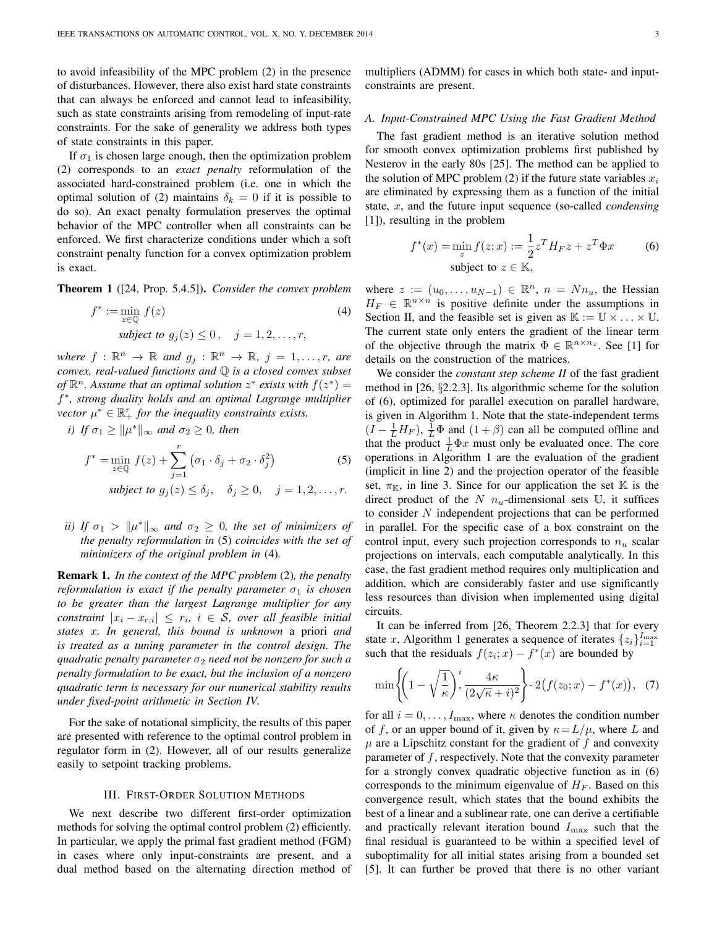to avoid infeasibility of the MPC problem (2) in the presence of disturbances. However, there also exist hard state constraints that can always be enforced and cannot lead to infeasibility, such as state constraints arising from remodeling of input-rate constraints. For the sake of generality we address both types of state constraints in this paper.

If  $\sigma_1$  is chosen large enough, then the optimization problem (2) corresponds to an *exact penalty* reformulation of the associated hard-constrained problem (i.e. one in which the optimal solution of (2) maintains  $\delta_k = 0$  if it is possible to do so). An exact penalty formulation preserves the optimal behavior of the MPC controller when all constraints can be enforced. We first characterize conditions under which a soft constraint penalty function for a convex optimization problem is exact.

Theorem 1 ([24, Prop. 5.4.5]). *Consider the convex problem*

$$
f^* := \min_{z \in \mathbb{Q}} f(z)
$$
  
subject to  $g_j(z) \le 0$ ,  $j = 1, 2, ..., r$ , (4)

where  $f: \mathbb{R}^n \to \mathbb{R}$  and  $g_j: \mathbb{R}^n \to \mathbb{R}$ ,  $j = 1, \ldots, r$ , are *convex, real-valued functions and* Q *is a closed convex subset* of  $\mathbb{R}^n$ . Assume that an optimal solution  $z^*$  exists with  $f(z^*) =$ f<sup>\*</sup>, strong duality holds and an optimal Lagrange multiplier *vector*  $\mu^* \in \mathbb{R}_+^r$  *for the inequality constraints exists.* 

*i*) If  $\sigma_1 \ge ||\mu^*||_{\infty}$  and  $\sigma_2 \ge 0$ , then

$$
f^* = \min_{z \in \mathbb{Q}} f(z) + \sum_{j=1}^r \left(\sigma_1 \cdot \delta_j + \sigma_2 \cdot \delta_j^2\right)
$$
 (5)

*subject to*  $g_i(z) \le \delta_i$ ,  $\delta_i \ge 0$ ,  $j = 1, 2, \ldots, r$ .

*ii)* If  $\sigma_1 > ||\mu^*||_{\infty}$  and  $\sigma_2 \geq 0$ , the set of minimizers of *the penalty reformulation in* (5) *coincides with the set of minimizers of the original problem in* (4)*.*

Remark 1. *In the context of the MPC problem* (2)*, the penalty reformulation is exact if the penalty parameter*  $\sigma_1$  *is chosen to be greater than the largest Lagrange multiplier for any*  $constant \, |x_i - x_{c,i}| \, \leq \, r_i, \, \, i \, \in \, S$ , over all feasible initial *states* x*. In general, this bound is unknown* a priori *and is treated as a tuning parameter in the control design. The quadratic penalty parameter*  $\sigma_2$  *need not be nonzero for such a penalty formulation to be exact, but the inclusion of a nonzero quadratic term is necessary for our numerical stability results under fixed-point arithmetic in Section IV.*

For the sake of notational simplicity, the results of this paper are presented with reference to the optimal control problem in regulator form in (2). However, all of our results generalize easily to setpoint tracking problems.

#### III. FIRST-ORDER SOLUTION METHODS

We next describe two different first-order optimization methods for solving the optimal control problem (2) efficiently. In particular, we apply the primal fast gradient method (FGM) in cases where only input-constraints are present, and a dual method based on the alternating direction method of multipliers (ADMM) for cases in which both state- and inputconstraints are present.

# *A. Input-Constrained MPC Using the Fast Gradient Method*

The fast gradient method is an iterative solution method for smooth convex optimization problems first published by Nesterov in the early 80s [25]. The method can be applied to the solution of MPC problem (2) if the future state variables  $x_i$ are eliminated by expressing them as a function of the initial state, x, and the future input sequence (so-called *condensing* [1]), resulting in the problem

$$
f^*(x) = \min_z f(z; x) := \frac{1}{2} z^T H_F z + z^T \Phi x
$$
 (6)  
subject to  $z \in \mathbb{K}$ ,

where  $z := (u_0, \dots, u_{N-1}) \in \mathbb{R}^n$ ,  $n = Nn_u$ , the Hessian  $H_F \in \mathbb{R}^{n \times n}$  is positive definite under the assumptions in Section II, and the feasible set is given as  $\mathbb{K} := \mathbb{U} \times \ldots \times \mathbb{U}$ . The current state only enters the gradient of the linear term of the objective through the matrix  $\Phi \in \mathbb{R}^{n \times n_x}$ . See [1] for details on the construction of the matrices.

We consider the *constant step scheme II* of the fast gradient method in [26, §2.2.3]. Its algorithmic scheme for the solution of (6), optimized for parallel execution on parallel hardware, is given in Algorithm 1. Note that the state-independent terms  $(I - \frac{1}{L}H_F)$ ,  $\frac{1}{L}\Phi$  and  $(1 + \beta)$  can all be computed offline and that the product  $\frac{1}{L}\Phi x$  must only be evaluated once. The core operations in Algorithm 1 are the evaluation of the gradient (implicit in line 2) and the projection operator of the feasible set,  $\pi_{\mathbb{K}}$ , in line 3. Since for our application the set  $\mathbb{K}$  is the direct product of the N  $n_u$ -dimensional sets U, it suffices to consider  $N$  independent projections that can be performed in parallel. For the specific case of a box constraint on the control input, every such projection corresponds to  $n<sub>u</sub>$  scalar projections on intervals, each computable analytically. In this case, the fast gradient method requires only multiplication and addition, which are considerably faster and use significantly less resources than division when implemented using digital circuits.

It can be inferred from [26, Theorem 2.2.3] that for every state x, Algorithm 1 generates a sequence of iterates  $\{z_i\}_{i=1}^{I_{\text{max}}}$ such that the residuals  $f(z_i; x) - f^*(x)$  are bounded by

$$
\min\left\{\left(1-\sqrt{\frac{1}{\kappa}}\right)^i,\frac{4\kappa}{(2\sqrt{\kappa}+i)^2}\right\}\cdot 2\big(f(z_0;x)-f^*(x)\big),\tag{7}
$$

for all  $i = 0, \ldots, I_{\text{max}}$ , where  $\kappa$  denotes the condition number of f, or an upper bound of it, given by  $\kappa = L/\mu$ , where L and  $\mu$  are a Lipschitz constant for the gradient of f and convexity parameter of  $f$ , respectively. Note that the convexity parameter for a strongly convex quadratic objective function as in (6) corresponds to the minimum eigenvalue of  $H_F$ . Based on this convergence result, which states that the bound exhibits the best of a linear and a sublinear rate, one can derive a certifiable and practically relevant iteration bound  $I_{\text{max}}$  such that the final residual is guaranteed to be within a specified level of suboptimality for all initial states arising from a bounded set [5]. It can further be proved that there is no other variant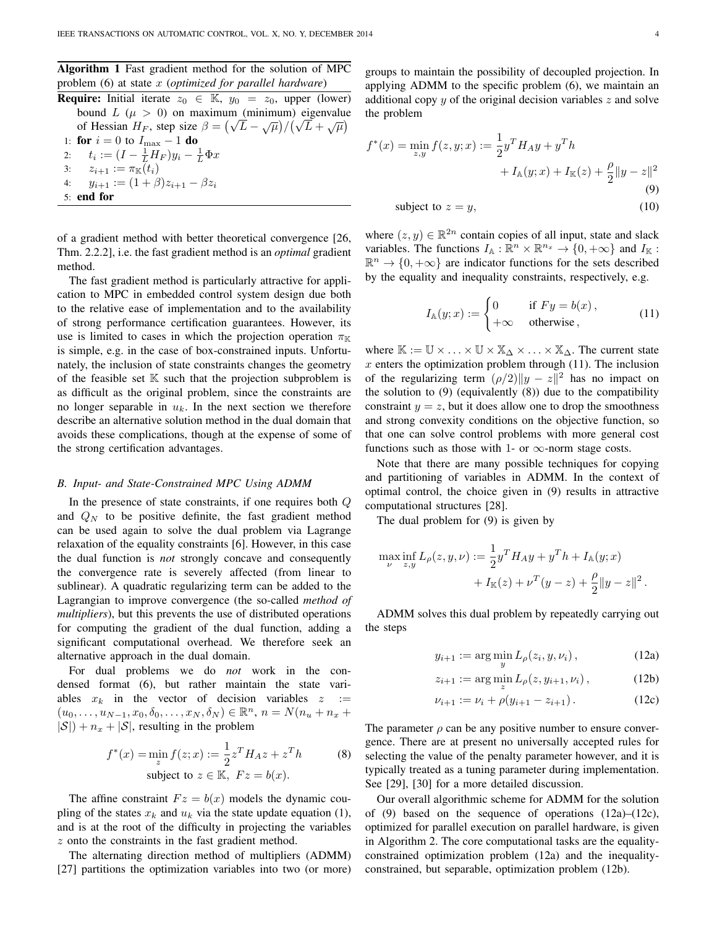Algorithm 1 Fast gradient method for the solution of MPC problem (6) at state x (*optimized for parallel hardware*)

**Require:** Initial iterate  $z_0 \in \mathbb{K}$ ,  $y_0 = z_0$ , upper (lower) bound  $L(\mu > 0)$  on maximum (minimum) eigenvalue bound  $L$  ( $\mu > 0$ ) on maximum (minimum) eigenvalue<br>of Hessian  $H_F$ , step size  $\beta = (\sqrt{L} - \sqrt{\mu})/(\sqrt{L} + \sqrt{\mu})$ 1: for  $i = 0$  to  $I_{\text{max}} - 1$  do 2:  $t_i := (I - \frac{1}{L}H_F)y_i - \frac{1}{L}\Phi x$ 3:  $z_{i+1} := \pi_{\mathbb{K}}(t_i)$ 4:  $y_{i+1} := (1+\beta)z_{i+1} - \beta z_i$ 5: end for

of a gradient method with better theoretical convergence [26, Thm. 2.2.2], i.e. the fast gradient method is an *optimal* gradient method.

The fast gradient method is particularly attractive for application to MPC in embedded control system design due both to the relative ease of implementation and to the availability of strong performance certification guarantees. However, its use is limited to cases in which the projection operation  $\pi_{\mathbb{K}}$ is simple, e.g. in the case of box-constrained inputs. Unfortunately, the inclusion of state constraints changes the geometry of the feasible set  $K$  such that the projection subproblem is as difficult as the original problem, since the constraints are no longer separable in  $u_k$ . In the next section we therefore describe an alternative solution method in the dual domain that avoids these complications, though at the expense of some of the strong certification advantages.

### *B. Input- and State-Constrained MPC Using ADMM*

In the presence of state constraints, if one requires both Q and  $Q_N$  to be positive definite, the fast gradient method can be used again to solve the dual problem via Lagrange relaxation of the equality constraints [6]. However, in this case the dual function is *not* strongly concave and consequently the convergence rate is severely affected (from linear to sublinear). A quadratic regularizing term can be added to the Lagrangian to improve convergence (the so-called *method of multipliers*), but this prevents the use of distributed operations for computing the gradient of the dual function, adding a significant computational overhead. We therefore seek an alternative approach in the dual domain.

For dual problems we do *not* work in the condensed format (6), but rather maintain the state variables  $x_k$  in the vector of decision variables  $z :=$  $(u_0, \ldots, u_{N-1}, x_0, \delta_0, \ldots, x_N, \delta_N) \in \mathbb{R}^n$ ,  $n = N(n_u + n_x + \delta_0, \delta_0, \ldots, \delta_N)$  $|S|$ ) +  $n_x$  +  $|S|$ , resulting in the problem

$$
f^*(x) = \min_z f(z; x) := \frac{1}{2} z^T H_A z + z^T h
$$
 (8)  
subject to  $z \in \mathbb{K}$ ,  $Fz = b(x)$ .

The affine constraint  $Fz = b(x)$  models the dynamic coupling of the states  $x_k$  and  $u_k$  via the state update equation (1), and is at the root of the difficulty in projecting the variables z onto the constraints in the fast gradient method.

The alternating direction method of multipliers (ADMM) [27] partitions the optimization variables into two (or more) groups to maintain the possibility of decoupled projection. In applying ADMM to the specific problem (6), we maintain an additional copy  $y$  of the original decision variables  $z$  and solve the problem

$$
f^*(x) = \min_{z,y} f(z, y; x) := \frac{1}{2} y^T H_A y + y^T h
$$
  
+  $I_{\mathbb{A}}(y; x) + I_{\mathbb{K}}(z) + \frac{\rho}{2} ||y - z||^2$   
(9)  
subject to  $z = y$ , (10)

where  $(z, y) \in \mathbb{R}^{2n}$  contain copies of all input, state and slack variables. The functions  $I_{\mathbb{A}} : \mathbb{R}^n \times \mathbb{R}^{n_x} \to \{0, +\infty\}$  and  $I_{\mathbb{K}}$ :  $\mathbb{R}^n \to \{0, +\infty\}$  are indicator functions for the sets described by the equality and inequality constraints, respectively, e.g.

$$
I_{\mathbb{A}}(y;x) := \begin{cases} 0 & \text{if } F y = b(x), \\ +\infty & \text{otherwise}, \end{cases}
$$
 (11)

where  $\mathbb{K} := \mathbb{U} \times \ldots \times \mathbb{U} \times \mathbb{X}_{\Delta} \times \ldots \times \mathbb{X}_{\Delta}$ . The current state  $x$  enters the optimization problem through (11). The inclusion of the regularizing term  $(\rho/2) \|y - z\|^2$  has no impact on the solution to  $(9)$  (equivalently  $(8)$ ) due to the compatibility constraint  $y = z$ , but it does allow one to drop the smoothness and strong convexity conditions on the objective function, so that one can solve control problems with more general cost functions such as those with 1- or  $\infty$ -norm stage costs.

Note that there are many possible techniques for copying and partitioning of variables in ADMM. In the context of optimal control, the choice given in (9) results in attractive computational structures [28].

The dual problem for (9) is given by

$$
\max_{\nu} \inf_{z,y} L_{\rho}(z,y,\nu) := \frac{1}{2} y^T H_A y + y^T h + I_{\mathbb{A}}(y;x) + I_{\mathbb{K}}(z) + \nu^T (y-z) + \frac{\rho}{2} ||y-z||^2.
$$

ADMM solves this dual problem by repeatedly carrying out the steps

$$
y_{i+1} := \arg\min_{y} L_{\rho}(z_i, y, \nu_i), \qquad (12a)
$$

$$
z_{i+1} := \arg\min_{z} L_{\rho}(z, y_{i+1}, \nu_i), \qquad (12b)
$$

$$
\nu_{i+1} := \nu_i + \rho(y_{i+1} - z_{i+1}). \tag{12c}
$$

The parameter  $\rho$  can be any positive number to ensure convergence. There are at present no universally accepted rules for selecting the value of the penalty parameter however, and it is typically treated as a tuning parameter during implementation. See [29], [30] for a more detailed discussion.

Our overall algorithmic scheme for ADMM for the solution of (9) based on the sequence of operations  $(12a)$ – $(12c)$ , optimized for parallel execution on parallel hardware, is given in Algorithm 2. The core computational tasks are the equalityconstrained optimization problem (12a) and the inequalityconstrained, but separable, optimization problem (12b).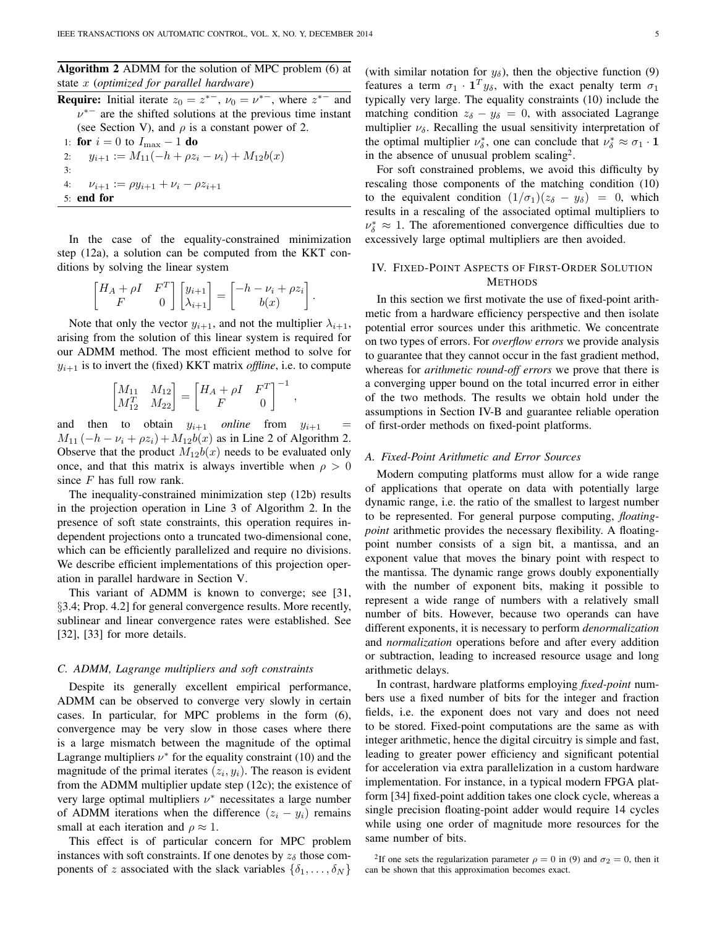Algorithm 2 ADMM for the solution of MPC problem (6) at state x (*optimized for parallel hardware*)

**Require:** Initial iterate  $z_0 = z^{*-}$ ,  $\nu_0 = \nu^{*-}$ , where  $z^{*-}$  and  $v^*$  are the shifted solutions at the previous time instant (see Section V), and  $\rho$  is a constant power of 2. 1: for  $i = 0$  to  $I_{\text{max}} - 1$  do 2:  $y_{i+1} := M_{11}(-h + \rho z_i - \nu_i) + M_{12}b(x)$ 3: 4:  $\nu_{i+1} := \rho y_{i+1} + \nu_i - \rho z_{i+1}$ 5: end for

In the case of the equality-constrained minimization step (12a), a solution can be computed from the KKT conditions by solving the linear system

$$
\begin{bmatrix} H_A + \rho I & F^T \\ F & 0 \end{bmatrix} \begin{bmatrix} y_{i+1} \\ \lambda_{i+1} \end{bmatrix} = \begin{bmatrix} -h - \nu_i + \rho z_i \\ b(x) \end{bmatrix}
$$

.

,

Note that only the vector  $y_{i+1}$ , and not the multiplier  $\lambda_{i+1}$ , arising from the solution of this linear system is required for our ADMM method. The most efficient method to solve for  $y_{i+1}$  is to invert the (fixed) KKT matrix *offline*, i.e. to compute

$$
\begin{bmatrix} M_{11} & M_{12} \\ M_{12}^T & M_{22} \end{bmatrix} = \begin{bmatrix} H_A + \rho I & F^T \\ F & 0 \end{bmatrix}^{-1}
$$

and then to obtain  $y_{i+1}$  *online* from  $y_{i+1}$  $M_{11}(-h - \nu_i + \rho z_i) + M_{12}b(x)$  as in Line 2 of Algorithm 2. Observe that the product  $M_{12}b(x)$  needs to be evaluated only once, and that this matrix is always invertible when  $\rho > 0$ since  $F$  has full row rank.

The inequality-constrained minimization step (12b) results in the projection operation in Line 3 of Algorithm 2. In the presence of soft state constraints, this operation requires independent projections onto a truncated two-dimensional cone, which can be efficiently parallelized and require no divisions. We describe efficient implementations of this projection operation in parallel hardware in Section V.

This variant of ADMM is known to converge; see [31, §3.4; Prop. 4.2] for general convergence results. More recently, sublinear and linear convergence rates were established. See [32], [33] for more details.

#### *C. ADMM, Lagrange multipliers and soft constraints*

Despite its generally excellent empirical performance, ADMM can be observed to converge very slowly in certain cases. In particular, for MPC problems in the form (6), convergence may be very slow in those cases where there is a large mismatch between the magnitude of the optimal Lagrange multipliers  $\nu^*$  for the equality constraint (10) and the magnitude of the primal iterates  $(z_i, y_i)$ . The reason is evident from the ADMM multiplier update step (12c); the existence of very large optimal multipliers  $\nu^*$  necessitates a large number of ADMM iterations when the difference  $(z_i - y_i)$  remains small at each iteration and  $\rho \approx 1$ .

This effect is of particular concern for MPC problem instances with soft constraints. If one denotes by  $z_{\delta}$  those components of z associated with the slack variables  $\{\delta_1, \ldots, \delta_N\}$  (with similar notation for  $y_{\delta}$ ), then the objective function (9) features a term  $\sigma_1 \cdot \mathbf{1}^T y_\delta$ , with the exact penalty term  $\sigma_1$ typically very large. The equality constraints (10) include the matching condition  $z_{\delta} - y_{\delta} = 0$ , with associated Lagrange multiplier  $\nu_{\delta}$ . Recalling the usual sensitivity interpretation of the optimal multiplier  $\nu_{\delta}^*$ , one can conclude that  $\nu_{\delta}^* \approx \sigma_1 \cdot \mathbf{1}$ in the absence of unusual problem scaling<sup>2</sup>.

For soft constrained problems, we avoid this difficulty by rescaling those components of the matching condition (10) to the equivalent condition  $(1/\sigma_1)(z_\delta - y_\delta) = 0$ , which results in a rescaling of the associated optimal multipliers to  $\nu_{\delta}^* \approx 1$ . The aforementioned convergence difficulties due to excessively large optimal multipliers are then avoided.

# IV. FIXED-POINT ASPECTS OF FIRST-ORDER SOLUTION **METHODS**

In this section we first motivate the use of fixed-point arithmetic from a hardware efficiency perspective and then isolate potential error sources under this arithmetic. We concentrate on two types of errors. For *overflow errors* we provide analysis to guarantee that they cannot occur in the fast gradient method, whereas for *arithmetic round-off errors* we prove that there is a converging upper bound on the total incurred error in either of the two methods. The results we obtain hold under the assumptions in Section IV-B and guarantee reliable operation of first-order methods on fixed-point platforms.

### *A. Fixed-Point Arithmetic and Error Sources*

Modern computing platforms must allow for a wide range of applications that operate on data with potentially large dynamic range, i.e. the ratio of the smallest to largest number to be represented. For general purpose computing, *floatingpoint* arithmetic provides the necessary flexibility. A floatingpoint number consists of a sign bit, a mantissa, and an exponent value that moves the binary point with respect to the mantissa. The dynamic range grows doubly exponentially with the number of exponent bits, making it possible to represent a wide range of numbers with a relatively small number of bits. However, because two operands can have different exponents, it is necessary to perform *denormalization* and *normalization* operations before and after every addition or subtraction, leading to increased resource usage and long arithmetic delays.

In contrast, hardware platforms employing *fixed-point* numbers use a fixed number of bits for the integer and fraction fields, i.e. the exponent does not vary and does not need to be stored. Fixed-point computations are the same as with integer arithmetic, hence the digital circuitry is simple and fast, leading to greater power efficiency and significant potential for acceleration via extra parallelization in a custom hardware implementation. For instance, in a typical modern FPGA platform [34] fixed-point addition takes one clock cycle, whereas a single precision floating-point adder would require 14 cycles while using one order of magnitude more resources for the same number of bits.

<sup>2</sup>If one sets the regularization parameter  $\rho = 0$  in (9) and  $\sigma_2 = 0$ , then it can be shown that this approximation becomes exact.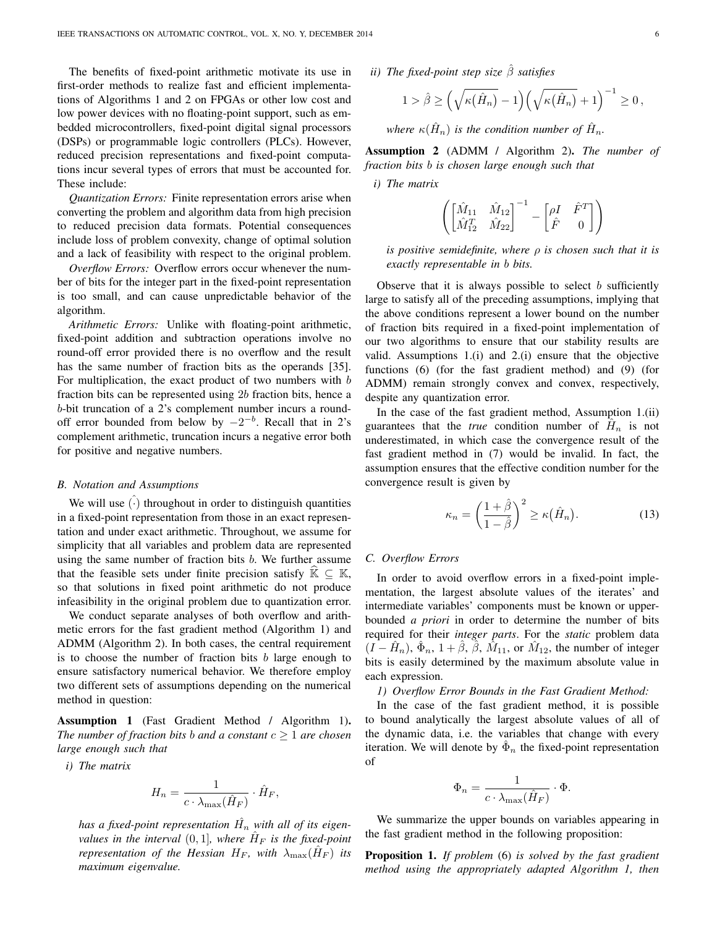The benefits of fixed-point arithmetic motivate its use in first-order methods to realize fast and efficient implementations of Algorithms 1 and 2 on FPGAs or other low cost and low power devices with no floating-point support, such as embedded microcontrollers, fixed-point digital signal processors (DSPs) or programmable logic controllers (PLCs). However, reduced precision representations and fixed-point computations incur several types of errors that must be accounted for. These include:

*Quantization Errors:* Finite representation errors arise when converting the problem and algorithm data from high precision to reduced precision data formats. Potential consequences include loss of problem convexity, change of optimal solution and a lack of feasibility with respect to the original problem.

*Overflow Errors:* Overflow errors occur whenever the number of bits for the integer part in the fixed-point representation is too small, and can cause unpredictable behavior of the algorithm.

*Arithmetic Errors:* Unlike with floating-point arithmetic, fixed-point addition and subtraction operations involve no round-off error provided there is no overflow and the result has the same number of fraction bits as the operands [35]. For multiplication, the exact product of two numbers with  $b$ fraction bits can be represented using 2b fraction bits, hence a b-bit truncation of a 2's complement number incurs a roundoff error bounded from below by  $-2^{-b}$ . Recall that in 2's complement arithmetic, truncation incurs a negative error both for positive and negative numbers.

#### *B. Notation and Assumptions*

We will use  $(\cdot)$  throughout in order to distinguish quantities in a fixed-point representation from those in an exact representation and under exact arithmetic. Throughout, we assume for simplicity that all variables and problem data are represented using the same number of fraction bits  $b$ . We further assume that the feasible sets under finite precision satisfy  $K \subseteq K$ , so that solutions in fixed point arithmetic do not produce infeasibility in the original problem due to quantization error.

We conduct separate analyses of both overflow and arithmetic errors for the fast gradient method (Algorithm 1) and ADMM (Algorithm 2). In both cases, the central requirement is to choose the number of fraction bits  $b$  large enough to ensure satisfactory numerical behavior. We therefore employ two different sets of assumptions depending on the numerical method in question:

Assumption 1 (Fast Gradient Method / Algorithm 1). *The number of fraction bits b and a constant*  $c \geq 1$  *are chosen large enough such that*

*i) The matrix*

$$
H_n = \frac{1}{c \cdot \lambda_{\text{max}}(\hat{H}_F)} \cdot \hat{H}_F,
$$

has a fixed-point representation  $\hat{H_n}$  with all of its eigen*values in the interval*  $(0,1]$ *, where*  $\hat{H}_F$  *is the fixed-point representation of the Hessian H<sub>F</sub>, with*  $\lambda_{\max}(\hat{H}_F)$  *its maximum eigenvalue.*

*ii) The fixed-point step size* βˆ *satisfies*

$$
1 > \hat{\beta} \ge \left(\sqrt{\kappa(\hat{H}_n)} - 1\right) \left(\sqrt{\kappa(\hat{H}_n)} + 1\right)^{-1} \ge 0,
$$

where  $\kappa(\hat{H}_n)$  is the condition number of  $\hat{H}_n$ .

Assumption 2 (ADMM / Algorithm 2). *The number of fraction bits* b *is chosen large enough such that*

*i) The matrix*

$$
\left(\begin{bmatrix} \hat{M}_{11} & \hat{M}_{12}\\ \hat{M}_{12}^T & \hat{M}_{22} \end{bmatrix}^{-1} - \begin{bmatrix} \rho I & \hat{F}^T \\ \hat{F} & 0 \end{bmatrix}\right)
$$

*is positive semidefinite, where* ρ *is chosen such that it is exactly representable in* b *bits.*

Observe that it is always possible to select  $b$  sufficiently large to satisfy all of the preceding assumptions, implying that the above conditions represent a lower bound on the number of fraction bits required in a fixed-point implementation of our two algorithms to ensure that our stability results are valid. Assumptions 1.(i) and 2.(i) ensure that the objective functions (6) (for the fast gradient method) and (9) (for ADMM) remain strongly convex and convex, respectively, despite any quantization error.

In the case of the fast gradient method, Assumption 1.(ii) guarantees that the *true* condition number of  $\hat{H}_n$  is not underestimated, in which case the convergence result of the fast gradient method in (7) would be invalid. In fact, the assumption ensures that the effective condition number for the convergence result is given by

$$
\kappa_n = \left(\frac{1+\hat{\beta}}{1-\hat{\beta}}\right)^2 \ge \kappa(\hat{H}_n). \tag{13}
$$

### *C. Overflow Errors*

In order to avoid overflow errors in a fixed-point implementation, the largest absolute values of the iterates' and intermediate variables' components must be known or upperbounded *a priori* in order to determine the number of bits required for their *integer parts*. For the *static* problem data  $(I - \hat{H}_n)$ ,  $\hat{\Phi}_n$ ,  $1 + \hat{\beta}$ ,  $\hat{\beta}$ ,  $\hat{M}_{11}$ , or  $\hat{M}_{12}$ , the number of integer bits is easily determined by the maximum absolute value in each expression.

*1) Overflow Error Bounds in the Fast Gradient Method:*

In the case of the fast gradient method, it is possible to bound analytically the largest absolute values of all of the dynamic data, i.e. the variables that change with every iteration. We will denote by  $\hat{\Phi}_n$  the fixed-point representation of

$$
\Phi_n = \frac{1}{c \cdot \lambda_{\max}(\hat{H}_F)} \cdot \Phi.
$$

We summarize the upper bounds on variables appearing in the fast gradient method in the following proposition:

Proposition 1. *If problem* (6) *is solved by the fast gradient method using the appropriately adapted Algorithm 1, then*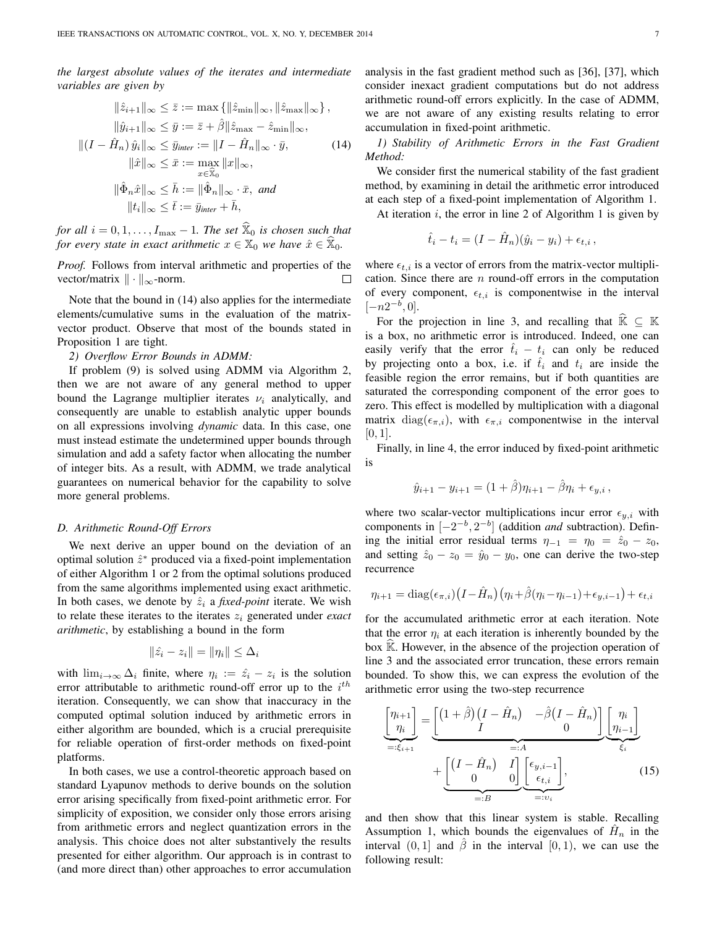*the largest absolute values of the iterates and intermediate variables are given by*

$$
\|\hat{z}_{i+1}\|_{\infty} \leq \bar{z} := \max \{ \|\hat{z}_{\min}\|_{\infty}, \|\hat{z}_{\max}\|_{\infty} \},
$$
  

$$
\|\hat{y}_{i+1}\|_{\infty} \leq \bar{y} := \bar{z} + \hat{\beta} \|\hat{z}_{\max} - \hat{z}_{\min}\|_{\infty},
$$
  

$$
\|(I - \hat{H}_n)\hat{y}_i\|_{\infty} \leq \bar{y}_{inter} := \|I - \hat{H}_n\|_{\infty} \cdot \bar{y},
$$
  

$$
\|\hat{x}\|_{\infty} \leq \bar{x} := \max_{x \in \hat{\mathbb{X}}_0} \|x\|_{\infty},
$$
  

$$
\|\hat{\Phi}_n \hat{x}\|_{\infty} \leq \bar{h} := \|\hat{\Phi}_n\|_{\infty} \cdot \bar{x}, \text{ and}
$$
  

$$
\|t_i\|_{\infty} \leq \bar{t} := \bar{y}_{inter} + \bar{h},
$$

*for all*  $i = 0, 1, \ldots, I_{\max} - 1$ *. The set*  $\hat{\mathbb{X}}_0$  *is chosen such that for every state in exact arithmetic*  $x \in \mathbb{X}_0$  *we have*  $\hat{x} \in \mathbb{X}_0$ *.* 

*Proof.* Follows from interval arithmetic and properties of the vector/matrix  $\|\cdot\|_{\infty}$ -norm.  $\Box$ 

Note that the bound in (14) also applies for the intermediate elements/cumulative sums in the evaluation of the matrixvector product. Observe that most of the bounds stated in Proposition 1 are tight.

#### *2) Overflow Error Bounds in ADMM:*

If problem (9) is solved using ADMM via Algorithm 2, then we are not aware of any general method to upper bound the Lagrange multiplier iterates  $\nu_i$  analytically, and consequently are unable to establish analytic upper bounds on all expressions involving *dynamic* data. In this case, one must instead estimate the undetermined upper bounds through simulation and add a safety factor when allocating the number of integer bits. As a result, with ADMM, we trade analytical guarantees on numerical behavior for the capability to solve more general problems.

#### *D. Arithmetic Round-Off Errors*

We next derive an upper bound on the deviation of an optimal solution  $\hat{z}^*$  produced via a fixed-point implementation of either Algorithm 1 or 2 from the optimal solutions produced from the same algorithms implemented using exact arithmetic. In both cases, we denote by  $\hat{z}_i$  a *fixed-point* iterate. We wish to relate these iterates to the iterates  $z_i$  generated under *exact arithmetic*, by establishing a bound in the form

$$
\|\hat{z_i} - z_i\| = \|\eta_i\| \le \Delta_i
$$

with  $\lim_{i\to\infty}\Delta_i$  finite, where  $\eta_i := \hat{z}_i - z_i$  is the solution error attributable to arithmetic round-off error up to the  $i^{th}$ iteration. Consequently, we can show that inaccuracy in the computed optimal solution induced by arithmetic errors in either algorithm are bounded, which is a crucial prerequisite for reliable operation of first-order methods on fixed-point platforms.

In both cases, we use a control-theoretic approach based on standard Lyapunov methods to derive bounds on the solution error arising specifically from fixed-point arithmetic error. For simplicity of exposition, we consider only those errors arising from arithmetic errors and neglect quantization errors in the analysis. This choice does not alter substantively the results presented for either algorithm. Our approach is in contrast to (and more direct than) other approaches to error accumulation analysis in the fast gradient method such as [36], [37], which consider inexact gradient computations but do not address arithmetic round-off errors explicitly. In the case of ADMM, we are not aware of any existing results relating to error accumulation in fixed-point arithmetic.

*1) Stability of Arithmetic Errors in the Fast Gradient Method:*

We consider first the numerical stability of the fast gradient method, by examining in detail the arithmetic error introduced at each step of a fixed-point implementation of Algorithm 1.

At iteration  $i$ , the error in line 2 of Algorithm 1 is given by

$$
\hat{t}_i - t_i = (I - \hat{H}_n)(\hat{y}_i - y_i) + \epsilon_{t,i},
$$

where  $\epsilon_{t,i}$  is a vector of errors from the matrix-vector multiplication. Since there are  $n$  round-off errors in the computation of every component,  $\epsilon_{t,i}$  is componentwise in the interval  $[-n2^{-b}, 0].$ 

For the projection in line 3, and recalling that  $\hat{\mathbb{K}} \subseteq \mathbb{K}$ is a box, no arithmetic error is introduced. Indeed, one can easily verify that the error  $\hat{t}_i - t_i$  can only be reduced by projecting onto a box, i.e. if  $\hat{t}_i$  and  $t_i$  are inside the feasible region the error remains, but if both quantities are saturated the corresponding component of the error goes to zero. This effect is modelled by multiplication with a diagonal matrix diag( $\epsilon_{\pi,i}$ ), with  $\epsilon_{\pi,i}$  componentwise in the interval  $[0, 1]$ .

Finally, in line 4, the error induced by fixed-point arithmetic is

$$
\hat{y}_{i+1} - y_{i+1} = (1 + \hat{\beta})\eta_{i+1} - \hat{\beta}\eta_i + \epsilon_{y,i},
$$

where two scalar-vector multiplications incur error  $\epsilon_{y,i}$  with components in  $[-2^{-b}, 2^{-b}]$  (addition *and* subtraction). Defining the initial error residual terms  $\eta_{-1} = \eta_0 = \hat{z}_0 - z_0$ , and setting  $\hat{z}_0 - z_0 = \hat{y}_0 - y_0$ , one can derive the two-step recurrence

$$
\eta_{i+1} = \text{diag}(\epsilon_{\pi,i}) \left( I - \hat{H}_n \right) \left( \eta_i + \hat{\beta}(\eta_i - \eta_{i-1}) + \epsilon_{y,i-1} \right) + \epsilon_{t,i}
$$

for the accumulated arithmetic error at each iteration. Note that the error  $\eta_i$  at each iteration is inherently bounded by the box  $\mathbb K$ . However, in the absence of the projection operation of line 3 and the associated error truncation, these errors remain bounded. To show this, we can express the evolution of the arithmetic error using the two-step recurrence

$$
\underbrace{\begin{bmatrix} \eta_{i+1} \\ \eta_i \end{bmatrix}}_{=: \xi_{i+1}} = \underbrace{\begin{bmatrix} (1+\hat{\beta})(I-\hat{H}_n) & -\hat{\beta}(I-\hat{H}_n) \end{bmatrix}}_{=: A} \underbrace{\begin{bmatrix} \eta_i \\ \eta_{i-1} \end{bmatrix}}_{\xi_i} + \underbrace{\begin{bmatrix} (I-\hat{H}_n) & I \end{bmatrix}}_{=: B} \underbrace{\begin{bmatrix} \epsilon_{y,i-1} \\ \epsilon_{t,i} \end{bmatrix}}_{=:v_i},
$$
(15)

and then show that this linear system is stable. Recalling Assumption 1, which bounds the eigenvalues of  $\hat{H}_n$  in the interval  $(0, 1]$  and  $\beta$  in the interval  $[0, 1)$ , we can use the following result: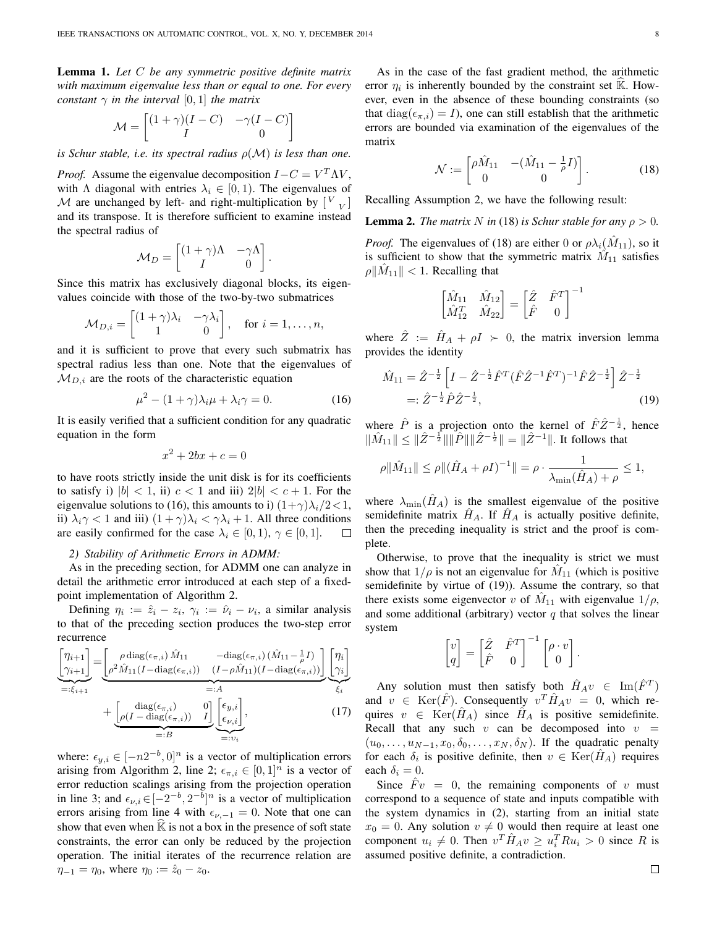Lemma 1. *Let* C *be any symmetric positive definite matrix with maximum eigenvalue less than or equal to one. For every constant*  $\gamma$  *in the interval* [0, 1] *the matrix* 

$$
\mathcal{M} = \begin{bmatrix} (1+\gamma)(I-C) & -\gamma(I-C) \\ I & 0 \end{bmatrix}
$$

*is Schur stable, i.e. its spectral radius*  $\rho(\mathcal{M})$  *is less than one.* 

*Proof.* Assume the eigenvalue decomposition  $I - C = V^T \Lambda V$ , with  $\Lambda$  diagonal with entries  $\lambda_i \in [0, 1)$ . The eigenvalues of M are unchanged by left- and right-multiplication by  $\begin{bmatrix} V & V \end{bmatrix}$ and its transpose. It is therefore sufficient to examine instead the spectral radius of

$$
\mathcal{M}_D = \begin{bmatrix} (1+\gamma)\Lambda & -\gamma\Lambda \\ I & 0 \end{bmatrix}.
$$

Since this matrix has exclusively diagonal blocks, its eigenvalues coincide with those of the two-by-two submatrices

$$
\mathcal{M}_{D,i} = \begin{bmatrix} (1+\gamma)\lambda_i & -\gamma\lambda_i \\ 1 & 0 \end{bmatrix}, \text{ for } i = 1, \dots, n,
$$

and it is sufficient to prove that every such submatrix has spectral radius less than one. Note that the eigenvalues of  $M_{D,i}$  are the roots of the characteristic equation

$$
\mu^2 - (1 + \gamma)\lambda_i \mu + \lambda_i \gamma = 0. \tag{16}
$$

It is easily verified that a sufficient condition for any quadratic equation in the form

$$
x^2 + 2bx + c = 0
$$

to have roots strictly inside the unit disk is for its coefficients to satisfy i)  $|b| < 1$ , ii)  $c < 1$  and iii)  $2|b| < c + 1$ . For the eigenvalue solutions to (16), this amounts to i)  $(1+\gamma)\lambda_i/2<1$ , ii)  $\lambda_i \gamma < 1$  and iii)  $(1 + \gamma)\lambda_i < \gamma \lambda_i + 1$ . All three conditions are easily confirmed for the case  $\lambda_i \in [0,1)$ ,  $\gamma \in [0,1]$ . П

#### *2) Stability of Arithmetic Errors in ADMM:*

As in the preceding section, for ADMM one can analyze in detail the arithmetic error introduced at each step of a fixedpoint implementation of Algorithm 2.

Defining  $\eta_i := \hat{z}_i - z_i$ ,  $\gamma_i := \hat{\nu}_i - \nu_i$ , a similar analysis to that of the preceding section produces the two-step error recurrence

$$
\underbrace{\begin{bmatrix} \eta_{i+1} \\ \gamma_{i+1} \end{bmatrix}}_{=: \xi_{i+1}} = \underbrace{\begin{bmatrix} \rho \operatorname{diag}(\epsilon_{\pi,i}) \hat{M}_{11} & -\operatorname{diag}(\epsilon_{\pi,i}) \left( \hat{M}_{11} - \frac{1}{\rho} I \right) \\ \rho^{2} \hat{M}_{11} (I - \operatorname{diag}(\epsilon_{\pi,i})) & (I - \rho \hat{M}_{11}) (I - \operatorname{diag}(\epsilon_{\pi,i})) \end{bmatrix}}_{=: A} \underbrace{\begin{bmatrix} \eta_{i} \\ \gamma_{i} \end{bmatrix}}_{\xi_{i}} + \underbrace{\begin{bmatrix} \operatorname{diag}(\epsilon_{\pi,i}) & 0 \\ \rho (I - \operatorname{diag}(\epsilon_{\pi,i})) & I \end{bmatrix}}_{=: B} \underbrace{\begin{bmatrix} \epsilon_{y,i} \\ \epsilon_{v,i} \end{bmatrix}}_{=: v_{i}},
$$
\n(17)

where:  $\epsilon_{y,i} \in [-n2^{-b}, 0]^n$  is a vector of multiplication errors arising from Algorithm 2, line 2;  $\epsilon_{\pi,i} \in [0,1]^n$  is a vector of error reduction scalings arising from the projection operation in line 3; and  $\epsilon_{\nu,i} \in [-2^{-b}, 2^{-b}]^n$  is a vector of multiplication errors arising from line 4 with  $\epsilon_{\nu,-1} = 0$ . Note that one can show that even when  $\mathbb K$  is not a box in the presence of soft state constraints, the error can only be reduced by the projection operation. The initial iterates of the recurrence relation are  $\eta_{-1} = \eta_0$ , where  $\eta_0 := \hat{z}_0 - z_0$ .

As in the case of the fast gradient method, the arithmetic error  $\eta_i$  is inherently bounded by the constraint set  $\hat{\mathbb{K}}$ . However, even in the absence of these bounding constraints (so that  $diag(\epsilon_{\pi,i}) = I$ , one can still establish that the arithmetic errors are bounded via examination of the eigenvalues of the matrix

$$
\mathcal{N} := \begin{bmatrix} \rho \hat{M}_{11} & -(\hat{M}_{11} - \frac{1}{\rho}I) \\ 0 & 0 \end{bmatrix}.
$$
 (18)

Recalling Assumption 2, we have the following result:

**Lemma 2.** *The matrix* N *in* (18) *is Schur stable for any*  $\rho > 0$ *.* 

*Proof.* The eigenvalues of (18) are either 0 or  $\rho \lambda_i(\hat{M}_{11})$ , so it is sufficient to show that the symmetric matrix  $\hat{M}_{11}$  satisfies  $\rho \|\hat{M}_{11}\| < 1$ . Recalling that

$$
\begin{bmatrix} \hat{M}_{11} & \hat{M}_{12} \\ \hat{M}_{12}^T & \hat{M}_{22} \end{bmatrix} = \begin{bmatrix} \hat{Z} & \hat{F}^T \\ \hat{F} & 0 \end{bmatrix}^{-1}
$$

where  $\hat{Z} := \hat{H}_A + \rho I \succ 0$ , the matrix inversion lemma provides the identity

$$
\hat{M}_{11} = \hat{Z}^{-\frac{1}{2}} \left[ I - \hat{Z}^{-\frac{1}{2}} \hat{F}^T (\hat{F} \hat{Z}^{-1} \hat{F}^T)^{-1} \hat{F} \hat{Z}^{-\frac{1}{2}} \right] \hat{Z}^{-\frac{1}{2}} \n=:\hat{Z}^{-\frac{1}{2}} \hat{P} \hat{Z}^{-\frac{1}{2}},
$$
\n(19)

where  $\hat{P}$  is a projection onto the kernel of  $\hat{F}\hat{Z}^{-\frac{1}{2}}$ , hence  $\|\hat{M}_{11}\| \leq \|\hat{Z}^{-\frac{1}{2}}\| \|\hat{P}\| \|\hat{Z}^{-\frac{1}{2}}\| = \|\hat{Z}^{-1}\|$ . It follows that

$$
\rho \|\hat{M}_{11}\| \le \rho \|(\hat{H}_A + \rho I)^{-1}\| = \rho \cdot \frac{1}{\lambda_{\min}(\hat{H}_A) + \rho} \le 1,
$$

where  $\lambda_{\min}(\hat{H}_A)$  is the smallest eigenvalue of the positive semidefinite matrix  $H_A$ . If  $H_A$  is actually positive definite, then the preceding inequality is strict and the proof is complete.

Otherwise, to prove that the inequality is strict we must show that  $1/\rho$  is not an eigenvalue for  $\hat{M}_{11}$  (which is positive semidefinite by virtue of (19)). Assume the contrary, so that there exists some eigenvector v of  $\hat{M}_{11}$  with eigenvalue  $1/\rho$ , and some additional (arbitrary) vector  $q$  that solves the linear system

$$
\begin{bmatrix} v \\ q \end{bmatrix} = \begin{bmatrix} \hat{Z} & \hat{F}^T \\ \hat{F} & 0 \end{bmatrix}^{-1} \begin{bmatrix} \rho \cdot v \\ 0 \end{bmatrix}.
$$

Any solution must then satisfy both  $\hat{H}_A v \in \text{Im}(\hat{F}^T)$ and  $v \in \text{Ker}(\hat{F})$ . Consequently  $v^T \hat{H}_{A} v = 0$ , which requires  $v \in \text{Ker}(\hat{H}_A)$  since  $\hat{H}_A$  is positive semidefinite. Recall that any such  $v$  can be decomposed into  $v =$  $(u_0, \ldots, u_{N-1}, x_0, \delta_0, \ldots, x_N, \delta_N)$ . If the quadratic penalty for each  $\delta_i$  is positive definite, then  $v \in \text{Ker}(\hat{H}_A)$  requires each  $\delta_i = 0$ .

Since  $F v = 0$ , the remaining components of v must correspond to a sequence of state and inputs compatible with the system dynamics in (2), starting from an initial state  $x_0 = 0$ . Any solution  $v \neq 0$  would then require at least one component  $u_i \neq 0$ . Then  $v^T \hat{H}_A v \geq u_i^T R u_i > 0$  since R is assumed positive definite, a contradiction.

 $\Box$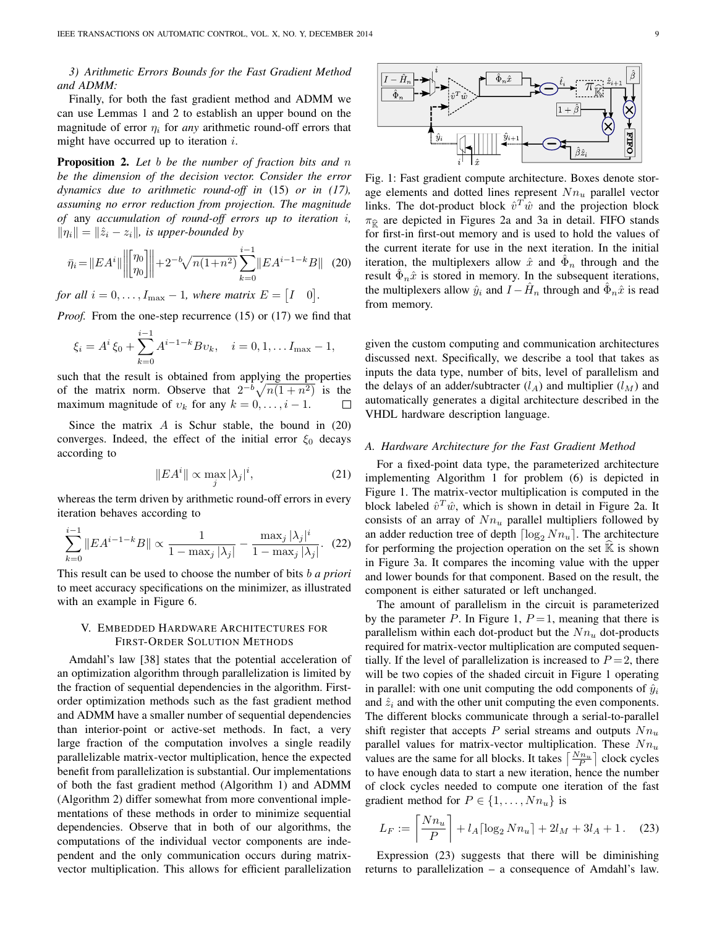*3) Arithmetic Errors Bounds for the Fast Gradient Method and ADMM:*

Finally, for both the fast gradient method and ADMM we can use Lemmas 1 and 2 to establish an upper bound on the magnitude of error  $\eta_i$  for *any* arithmetic round-off errors that might have occurred up to iteration  $i$ .

Proposition 2. *Let* b *be the number of fraction bits and* n *be the dimension of the decision vector. Consider the error dynamics due to arithmetic round-off in* (15) *or in (17), assuming no error reduction from projection. The magnitude of* any *accumulation of round-off errors up to iteration* i*,*  $\|\eta_i\| = \|\hat{z}_i - z_i\|$ , is upper-bounded by

$$
\bar{\eta}_i = \|EA^i\| \left\| \begin{bmatrix} \eta_0 \\ \eta_0 \end{bmatrix} \right\| + 2^{-b} \sqrt{n(1+n^2)} \sum_{k=0}^{i-1} \|EA^{i-1-k}B\| \tag{20}
$$

*for all*  $i = 0, \ldots, I_{\text{max}} - 1$ *, where matrix*  $E = \begin{bmatrix} I & 0 \end{bmatrix}$ *.* 

*Proof.* From the one-step recurrence (15) or (17) we find that

$$
\xi_i = A^i \xi_0 + \sum_{k=0}^{i-1} A^{i-1-k} B v_k, \quad i = 0, 1, \dots I_{\text{max}} - 1,
$$

such that the result is obtained from applying the properties of the matrix norm. Observe that  $2^{-b}\sqrt{n(1 + n^2)}$  is the maximum magnitude of  $v_k$  for any  $k = 0, \ldots, i - 1$ .

Since the matrix  $A$  is Schur stable, the bound in  $(20)$ converges. Indeed, the effect of the initial error  $\xi_0$  decays according to

$$
||EA^{i}|| \propto \max_{j} |\lambda_{j}|^{i}, \qquad (21)
$$

whereas the term driven by arithmetic round-off errors in every iteration behaves according to

$$
\sum_{k=0}^{i-1} \|EA^{i-1-k}B\| \propto \frac{1}{1 - \max_j |\lambda_j|} - \frac{\max_j |\lambda_j|^i}{1 - \max_j |\lambda_j|}. (22)
$$

This result can be used to choose the number of bits b *a priori* to meet accuracy specifications on the minimizer, as illustrated with an example in Figure 6.

# V. EMBEDDED HARDWARE ARCHITECTURES FOR FIRST-ORDER SOLUTION METHODS

Amdahl's law [38] states that the potential acceleration of an optimization algorithm through parallelization is limited by the fraction of sequential dependencies in the algorithm. Firstorder optimization methods such as the fast gradient method and ADMM have a smaller number of sequential dependencies than interior-point or active-set methods. In fact, a very large fraction of the computation involves a single readily parallelizable matrix-vector multiplication, hence the expected benefit from parallelization is substantial. Our implementations of both the fast gradient method (Algorithm 1) and ADMM (Algorithm 2) differ somewhat from more conventional implementations of these methods in order to minimize sequential dependencies. Observe that in both of our algorithms, the computations of the individual vector components are independent and the only communication occurs during matrixvector multiplication. This allows for efficient parallelization



Fig. 1: Fast gradient compute architecture. Boxes denote storage elements and dotted lines represent  $Nn_u$  parallel vector links. The dot-product block  $\hat{v}^T \hat{w}$  and the projection block  $\pi_{\widehat{\mathcal{R}}}$  are depicted in Figures 2a and 3a in detail. FIFO stands for first-in first-out memory and is used to hold the values of the current iterate for use in the next iteration. In the initial iteration, the multiplexers allow  $\hat{x}$  and  $\hat{\Phi}_n$  through and the result  $\hat{\Phi}_n \hat{x}$  is stored in memory. In the subsequent iterations, the multiplexers allow  $\hat{y}_i$  and  $\hat{I} - \hat{H}_n$  through and  $\hat{\Phi}_n \hat{x}$  is read from memory.

given the custom computing and communication architectures discussed next. Specifically, we describe a tool that takes as inputs the data type, number of bits, level of parallelism and the delays of an adder/subtracter  $(l_A)$  and multiplier  $(l_M)$  and automatically generates a digital architecture described in the VHDL hardware description language.

#### *A. Hardware Architecture for the Fast Gradient Method*

For a fixed-point data type, the parameterized architecture implementing Algorithm 1 for problem (6) is depicted in Figure 1. The matrix-vector multiplication is computed in the block labeled  $\hat{v}^T\hat{w}$ , which is shown in detail in Figure 2a. It consists of an array of  $Nn_u$  parallel multipliers followed by an adder reduction tree of depth  $\lceil \log_2 Nn_u \rceil$ . The architecture for performing the projection operation on the set  $\mathbb K$  is shown in Figure 3a. It compares the incoming value with the upper and lower bounds for that component. Based on the result, the component is either saturated or left unchanged.

The amount of parallelism in the circuit is parameterized by the parameter P. In Figure 1,  $P=1$ , meaning that there is parallelism within each dot-product but the  $Nn_u$  dot-products required for matrix-vector multiplication are computed sequentially. If the level of parallelization is increased to  $P = 2$ , there will be two copies of the shaded circuit in Figure 1 operating in parallel: with one unit computing the odd components of  $\hat{y}_i$ and  $\hat{z}_i$  and with the other unit computing the even components. The different blocks communicate through a serial-to-parallel shift register that accepts P serial streams and outputs  $Nn_u$ parallel values for matrix-vector multiplication. These  $Nn_u$ values are the same for all blocks. It takes  $\left\lceil \frac{Nn_u}{P} \right\rceil$  clock cycles to have enough data to start a new iteration, hence the number of clock cycles needed to compute one iteration of the fast gradient method for  $P \in \{1, \ldots, Nn_u\}$  is

$$
L_F := \left\lceil \frac{Nn_u}{P} \right\rceil + l_A \left\lceil \log_2 N n_u \right\rceil + 2l_M + 3l_A + 1. \quad (23)
$$

Expression (23) suggests that there will be diminishing returns to parallelization – a consequence of Amdahl's law.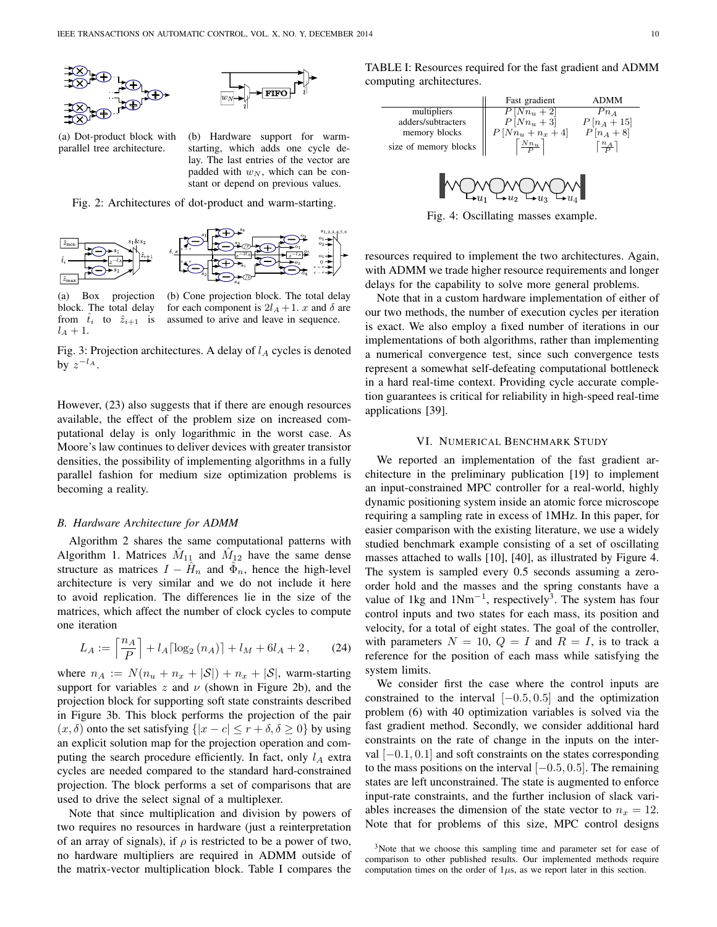



(a) Dot-product block with parallel tree architecture.

(b) Hardware support for warmstarting, which adds one cycle delay. The last entries of the vector are padded with  $w_N$ , which can be constant or depend on previous values.

Fig. 2: Architectures of dot-product and warm-starting.



(a) Box projection block. The total delay from  $\hat{t}_i$  to  $\hat{z}_{i+1}$  is  $l_A+1$ .

(b) Cone projection block. The total delay for each component is  $2l_A + 1$ . x and  $\delta$  are assumed to arive and leave in sequence.

Fig. 3: Projection architectures. A delay of  $l_A$  cycles is denoted by  $z^{-l_A}$ .

However, (23) also suggests that if there are enough resources available, the effect of the problem size on increased computational delay is only logarithmic in the worst case. As Moore's law continues to deliver devices with greater transistor densities, the possibility of implementing algorithms in a fully parallel fashion for medium size optimization problems is becoming a reality.

#### *B. Hardware Architecture for ADMM*

Algorithm 2 shares the same computational patterns with Algorithm 1. Matrices  $\hat{M}_{11}$  and  $\hat{M}_{12}$  have the same dense structure as matrices  $I - \hat{H}_n$  and  $\hat{\Phi}_n$ , hence the high-level architecture is very similar and we do not include it here to avoid replication. The differences lie in the size of the matrices, which affect the number of clock cycles to compute one iteration

$$
L_A := \left\lceil \frac{n_A}{P} \right\rceil + l_A \left\lceil \log_2(n_A) \right\rceil + l_M + 6l_A + 2, \qquad (24)
$$

where  $n_A := N(n_u + n_x + |\mathcal{S}|) + n_x + |\mathcal{S}|$ , warm-starting support for variables z and  $\nu$  (shown in Figure 2b), and the projection block for supporting soft state constraints described in Figure 3b. This block performs the projection of the pair  $(x, \delta)$  onto the set satisfying  $\{|x - c| \le r + \delta, \delta \ge 0\}$  by using an explicit solution map for the projection operation and computing the search procedure efficiently. In fact, only  $l_A$  extra cycles are needed compared to the standard hard-constrained projection. The block performs a set of comparisons that are used to drive the select signal of a multiplexer.

Note that since multiplication and division by powers of two requires no resources in hardware (just a reinterpretation of an array of signals), if  $\rho$  is restricted to be a power of two, no hardware multipliers are required in ADMM outside of the matrix-vector multiplication block. Table I compares the

TABLE I: Resources required for the fast gradient and ADMM computing architectures.

|                       | Fast gradient   | ADMM            |
|-----------------------|-----------------|-----------------|
| multipliers           | $P[Nn_u+2]$     | $Pn_A$          |
| adders/subtracters    | $P[Nn_u+3]$     | $P[n_A+15]$     |
| memory blocks         | $P[Nn_u+n_x+4]$ | $P[n_A + 8]$    |
| size of memory blocks | $Nn_u$          | $\frac{n_A}{P}$ |
|                       |                 |                 |



Fig. 4: Oscillating masses example.

resources required to implement the two architectures. Again, with ADMM we trade higher resource requirements and longer delays for the capability to solve more general problems.

Note that in a custom hardware implementation of either of our two methods, the number of execution cycles per iteration is exact. We also employ a fixed number of iterations in our implementations of both algorithms, rather than implementing a numerical convergence test, since such convergence tests represent a somewhat self-defeating computational bottleneck in a hard real-time context. Providing cycle accurate completion guarantees is critical for reliability in high-speed real-time applications [39].

#### VI. NUMERICAL BENCHMARK STUDY

We reported an implementation of the fast gradient architecture in the preliminary publication [19] to implement an input-constrained MPC controller for a real-world, highly dynamic positioning system inside an atomic force microscope requiring a sampling rate in excess of 1MHz. In this paper, for easier comparison with the existing literature, we use a widely studied benchmark example consisting of a set of oscillating masses attached to walls [10], [40], as illustrated by Figure 4. The system is sampled every 0.5 seconds assuming a zeroorder hold and the masses and the spring constants have a value of 1kg and  $1Nm^{-1}$ , respectively<sup>3</sup>. The system has four control inputs and two states for each mass, its position and velocity, for a total of eight states. The goal of the controller, with parameters  $N = 10$ ,  $Q = I$  and  $R = I$ , is to track a reference for the position of each mass while satisfying the system limits.

We consider first the case where the control inputs are constrained to the interval  $[-0.5, 0.5]$  and the optimization problem (6) with 40 optimization variables is solved via the fast gradient method. Secondly, we consider additional hard constraints on the rate of change in the inputs on the interval  $[-0.1, 0.1]$  and soft constraints on the states corresponding to the mass positions on the interval  $[-0.5, 0.5]$ . The remaining states are left unconstrained. The state is augmented to enforce input-rate constraints, and the further inclusion of slack variables increases the dimension of the state vector to  $n_x = 12$ . Note that for problems of this size, MPC control designs

<sup>&</sup>lt;sup>3</sup>Note that we choose this sampling time and parameter set for ease of comparison to other published results. Our implemented methods require computation times on the order of  $1\mu s$ , as we report later in this section.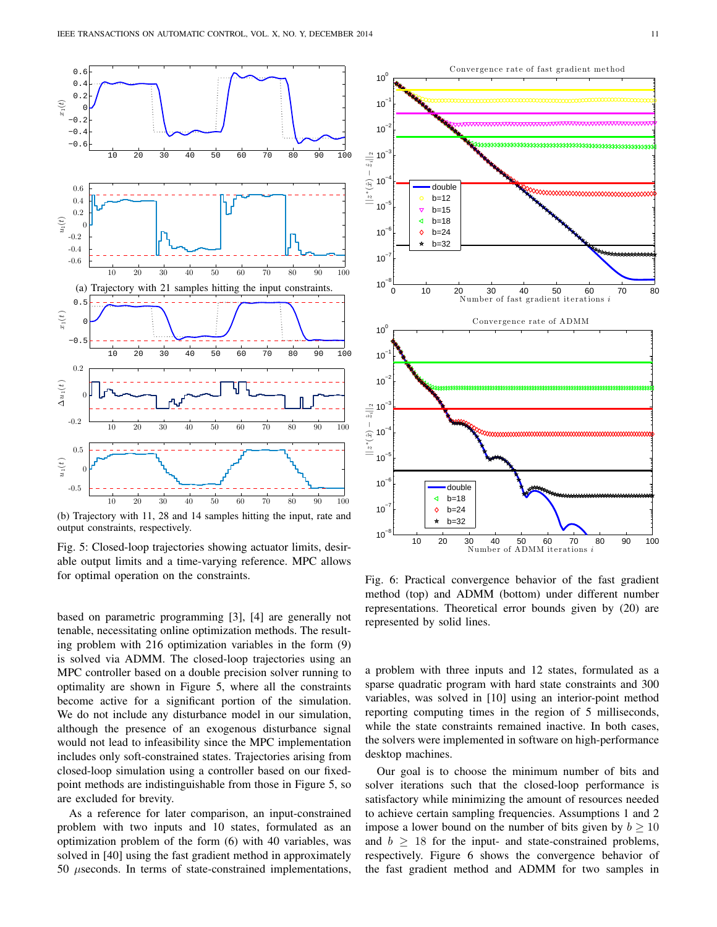

(b) Trajectory with 11, 28 and 14 samples hitting the input, rate and output constraints, respectively.

Fig. 5: Closed-loop trajectories showing actuator limits, desirable output limits and a time-varying reference. MPC allows for optimal operation on the constraints.

based on parametric programming [3], [4] are generally not tenable, necessitating online optimization methods. The resulting problem with 216 optimization variables in the form (9) is solved via ADMM. The closed-loop trajectories using an MPC controller based on a double precision solver running to optimality are shown in Figure 5, where all the constraints become active for a significant portion of the simulation. We do not include any disturbance model in our simulation, although the presence of an exogenous disturbance signal would not lead to infeasibility since the MPC implementation includes only soft-constrained states. Trajectories arising from closed-loop simulation using a controller based on our fixedpoint methods are indistinguishable from those in Figure 5, so are excluded for brevity.

As a reference for later comparison, an input-constrained problem with two inputs and 10 states, formulated as an optimization problem of the form (6) with 40 variables, was solved in [40] using the fast gradient method in approximately  $50$   $\mu$ seconds. In terms of state-constrained implementations,



Fig. 6: Practical convergence behavior of the fast gradient method (top) and ADMM (bottom) under different number representations. Theoretical error bounds given by (20) are represented by solid lines.

a problem with three inputs and 12 states, formulated as a sparse quadratic program with hard state constraints and 300 variables, was solved in [10] using an interior-point method reporting computing times in the region of 5 milliseconds, while the state constraints remained inactive. In both cases, the solvers were implemented in software on high-performance desktop machines.

Our goal is to choose the minimum number of bits and solver iterations such that the closed-loop performance is satisfactory while minimizing the amount of resources needed to achieve certain sampling frequencies. Assumptions 1 and 2 impose a lower bound on the number of bits given by  $b \ge 10$ and  $b \geq 18$  for the input- and state-constrained problems, respectively. Figure 6 shows the convergence behavior of the fast gradient method and ADMM for two samples in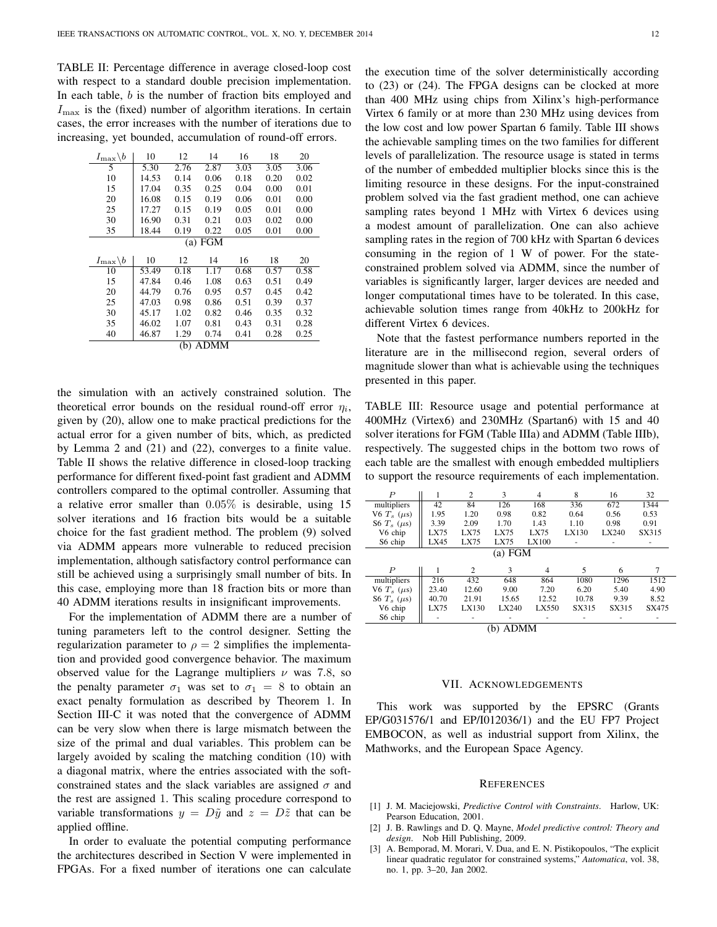TABLE II: Percentage difference in average closed-loop cost with respect to a standard double precision implementation. In each table,  $b$  is the number of fraction bits employed and  $I_{\text{max}}$  is the (fixed) number of algorithm iterations. In certain cases, the error increases with the number of iterations due to increasing, yet bounded, accumulation of round-off errors.

| $I_{\max}\backslash b$     | 10    | 12   | 14   | 16   | 18   | 20   |
|----------------------------|-------|------|------|------|------|------|
| 5                          | 5.30  | 2.76 | 2.87 | 3.03 | 3.05 | 3.06 |
| 10                         | 14.53 | 0.14 | 0.06 | 0.18 | 0.20 | 0.02 |
| 15                         | 17.04 | 0.35 | 0.25 | 0.04 | 0.00 | 0.01 |
| 20                         | 16.08 | 0.15 | 0.19 | 0.06 | 0.01 | 0.00 |
| 25                         | 17.27 | 0.15 | 0.19 | 0.05 | 0.01 | 0.00 |
| 30                         | 16.90 | 0.31 | 0.21 | 0.03 | 0.02 | 0.00 |
| 35                         | 18.44 | 0.19 | 0.22 | 0.05 | 0.01 | 0.00 |
| (a) FGM                    |       |      |      |      |      |      |
|                            |       |      |      |      |      |      |
| $I_{\rm max} \backslash b$ | 10    | 12   | 14   | 16   | 18   | 20   |
| 10                         | 53.49 | 0.18 | 1.17 | 0.68 | 0.57 | 0.58 |
| 15                         | 47.84 | 0.46 | 1.08 | 0.63 | 0.51 | 0.49 |
| 20                         | 44.79 | 0.76 | 0.95 | 0.57 | 0.45 | 0.42 |
| 25                         | 47.03 | 0.98 | 0.86 | 0.51 | 0.39 | 0.37 |
| 30                         | 45.17 | 1.02 | 0.82 | 0.46 | 0.35 | 0.32 |
| 35                         | 46.02 | 1.07 | 0.81 | 0.43 | 0.31 | 0.28 |
| 40                         | 46.87 | 1.29 | 0.74 | 0.41 | 0.28 | 0.25 |

the simulation with an actively constrained solution. The theoretical error bounds on the residual round-off error  $\eta_i$ , given by (20), allow one to make practical predictions for the actual error for a given number of bits, which, as predicted by Lemma 2 and (21) and (22), converges to a finite value. Table II shows the relative difference in closed-loop tracking performance for different fixed-point fast gradient and ADMM controllers compared to the optimal controller. Assuming that a relative error smaller than 0.05% is desirable, using 15 solver iterations and 16 fraction bits would be a suitable choice for the fast gradient method. The problem (9) solved via ADMM appears more vulnerable to reduced precision implementation, although satisfactory control performance can still be achieved using a surprisingly small number of bits. In this case, employing more than 18 fraction bits or more than 40 ADMM iterations results in insignificant improvements.

For the implementation of ADMM there are a number of tuning parameters left to the control designer. Setting the regularization parameter to  $\rho = 2$  simplifies the implementation and provided good convergence behavior. The maximum observed value for the Lagrange multipliers  $\nu$  was 7.8, so the penalty parameter  $\sigma_1$  was set to  $\sigma_1 = 8$  to obtain an exact penalty formulation as described by Theorem 1. In Section III-C it was noted that the convergence of ADMM can be very slow when there is large mismatch between the size of the primal and dual variables. This problem can be largely avoided by scaling the matching condition (10) with a diagonal matrix, where the entries associated with the softconstrained states and the slack variables are assigned  $\sigma$  and the rest are assigned 1. This scaling procedure correspond to variable transformations  $y = D\tilde{y}$  and  $z = D\tilde{z}$  that can be applied offline.

In order to evaluate the potential computing performance the architectures described in Section V were implemented in FPGAs. For a fixed number of iterations one can calculate the execution time of the solver deterministically according to (23) or (24). The FPGA designs can be clocked at more than 400 MHz using chips from Xilinx's high-performance Virtex 6 family or at more than 230 MHz using devices from the low cost and low power Spartan 6 family. Table III shows the achievable sampling times on the two families for different levels of parallelization. The resource usage is stated in terms of the number of embedded multiplier blocks since this is the limiting resource in these designs. For the input-constrained problem solved via the fast gradient method, one can achieve sampling rates beyond 1 MHz with Virtex 6 devices using a modest amount of parallelization. One can also achieve sampling rates in the region of 700 kHz with Spartan 6 devices consuming in the region of 1 W of power. For the stateconstrained problem solved via ADMM, since the number of variables is significantly larger, larger devices are needed and longer computational times have to be tolerated. In this case, achievable solution times range from 40kHz to 200kHz for different Virtex 6 devices.

Note that the fastest performance numbers reported in the literature are in the millisecond region, several orders of magnitude slower than what is achievable using the techniques presented in this paper.

TABLE III: Resource usage and potential performance at 400MHz (Virtex6) and 230MHz (Spartan6) with 15 and 40 solver iterations for FGM (Table IIIa) and ADMM (Table IIIb), respectively. The suggested chips in the bottom two rows of each table are the smallest with enough embedded multipliers to support the resource requirements of each implementation.

| $\boldsymbol{P}$    |         | $\overline{c}$ | 3     | 4           | 8     | 16    | 32    |  |
|---------------------|---------|----------------|-------|-------------|-------|-------|-------|--|
| multipliers         | 42      | 84             | 126   | 168         | 336   | 672   | 1344  |  |
| V6 $T_s$ ( $\mu$ s) | 1.95    | 1.20           | 0.98  | 0.82        | 0.64  | 0.56  | 0.53  |  |
| S6 $T_s$ ( $\mu$ s) | 3.39    | 2.09           | 1.70  | 1.43        | 1.10  | 0.98  | 0.91  |  |
| V6 chip             | LX75    | <b>LX75</b>    | LX75  | <b>LX75</b> | LX130 | LX240 | SX315 |  |
| S6 chip             | LX45    | LX75           | LX75  | LX100       |       |       |       |  |
|                     | (a) FGM |                |       |             |       |       |       |  |
| P                   |         | $\overline{2}$ | 3     | 4           | 5     | 6     | 7     |  |
| multipliers         | 216     | 432            | 648   | 864         | 1080  | 1296  | 1512  |  |
| V6 $T_s$ ( $\mu$ s) | 23.40   | 12.60          | 9.00  | 7.20        | 6.20  | 5.40  | 4.90  |  |
| S6 $T_s$ ( $\mu$ s) | 40.70   | 21.91          | 15.65 | 12.52       | 10.78 | 9.39  | 8.52  |  |
| V6 chip             | LX75    | LX130          | LX240 | LX550       | SX315 | SX315 | SX475 |  |
| S6 chip             |         |                |       |             |       |       |       |  |
| ADMM<br>(b)         |         |                |       |             |       |       |       |  |

#### VII. ACKNOWLEDGEMENTS

This work was supported by the EPSRC (Grants EP/G031576/1 and EP/I012036/1) and the EU FP7 Project EMBOCON, as well as industrial support from Xilinx, the Mathworks, and the European Space Agency.

#### **REFERENCES**

- [1] J. M. Maciejowski, *Predictive Control with Constraints*. Harlow, UK: Pearson Education, 2001.
- [2] J. B. Rawlings and D. Q. Mayne, *Model predictive control: Theory and design*. Nob Hill Publishing, 2009.
- [3] A. Bemporad, M. Morari, V. Dua, and E. N. Pistikopoulos, "The explicit linear quadratic regulator for constrained systems," *Automatica*, vol. 38, no. 1, pp. 3–20, Jan 2002.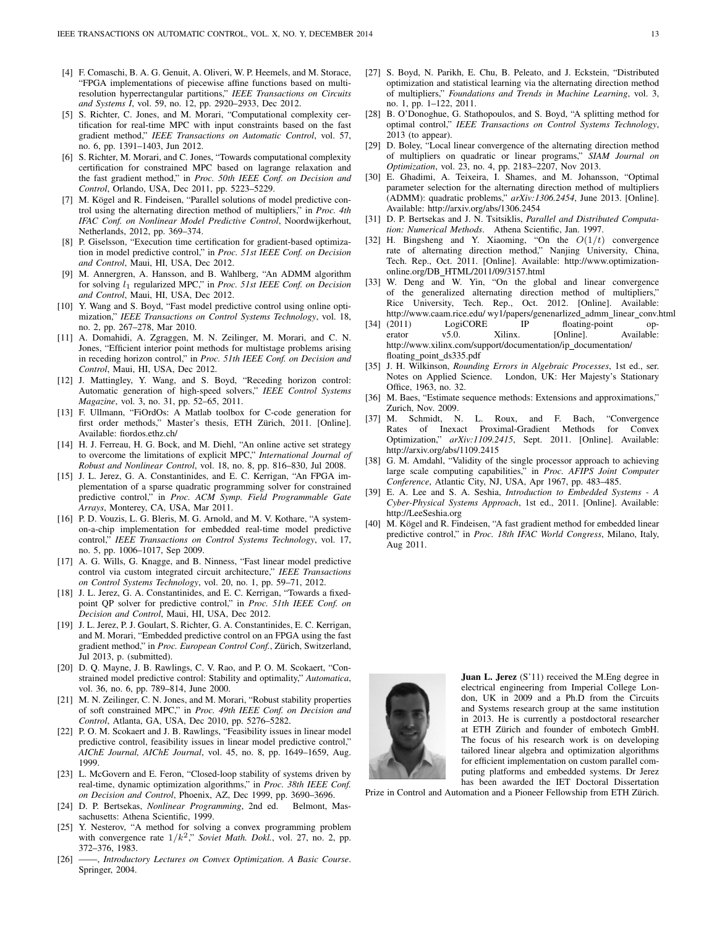- [4] F. Comaschi, B. A. G. Genuit, A. Oliveri, W. P. Heemels, and M. Storace, "FPGA implementations of piecewise affine functions based on multiresolution hyperrectangular partitions," *IEEE Transactions on Circuits and Systems I*, vol. 59, no. 12, pp. 2920–2933, Dec 2012.
- [5] S. Richter, C. Jones, and M. Morari, "Computational complexity certification for real-time MPC with input constraints based on the fast gradient method," *IEEE Transactions on Automatic Control*, vol. 57, no. 6, pp. 1391–1403, Jun 2012.
- [6] S. Richter, M. Morari, and C. Jones, "Towards computational complexity certification for constrained MPC based on lagrange relaxation and the fast gradient method," in *Proc. 50th IEEE Conf. on Decision and Control*, Orlando, USA, Dec 2011, pp. 5223–5229.
- [7] M. Kögel and R. Findeisen, "Parallel solutions of model predictive control using the alternating direction method of multipliers," in *Proc. 4th IFAC Conf. on Nonlinear Model Predictive Control*, Noordwijkerhout, Netherlands, 2012, pp. 369–374.
- [8] P. Giselsson, "Execution time certification for gradient-based optimization in model predictive control," in *Proc. 51st IEEE Conf. on Decision and Control*, Maui, HI, USA, Dec 2012.
- [9] M. Annergren, A. Hansson, and B. Wahlberg, "An ADMM algorithm for solving l<sup>1</sup> regularized MPC," in *Proc. 51st IEEE Conf. on Decision and Control*, Maui, HI, USA, Dec 2012.
- [10] Y. Wang and S. Boyd, "Fast model predictive control using online optimization," *IEEE Transactions on Control Systems Technology*, vol. 18, no. 2, pp. 267–278, Mar 2010.
- [11] A. Domahidi, A. Zgraggen, M. N. Zeilinger, M. Morari, and C. N. Jones, "Efficient interior point methods for multistage problems arising in receding horizon control," in *Proc. 51th IEEE Conf. on Decision and Control*, Maui, HI, USA, Dec 2012.
- [12] J. Mattingley, Y. Wang, and S. Boyd, "Receding horizon control: Automatic generation of high-speed solvers," *IEEE Control Systems Magazine*, vol. 3, no. 31, pp. 52–65, 2011.
- [13] F. Ullmann, "FiOrdOs: A Matlab toolbox for C-code generation for first order methods," Master's thesis, ETH Zürich, 2011. [Online]. Available: fiordos.ethz.ch/
- [14] H. J. Ferreau, H. G. Bock, and M. Diehl, "An online active set strategy to overcome the limitations of explicit MPC," *International Journal of Robust and Nonlinear Control*, vol. 18, no. 8, pp. 816–830, Jul 2008.
- [15] J. L. Jerez, G. A. Constantinides, and E. C. Kerrigan, "An FPGA implementation of a sparse quadratic programming solver for constrained predictive control," in *Proc. ACM Symp. Field Programmable Gate Arrays*, Monterey, CA, USA, Mar 2011.
- [16] P. D. Vouzis, L. G. Bleris, M. G. Arnold, and M. V. Kothare, "A systemon-a-chip implementation for embedded real-time model predictive control," *IEEE Transactions on Control Systems Technology*, vol. 17, no. 5, pp. 1006–1017, Sep 2009.
- [17] A. G. Wills, G. Knagge, and B. Ninness, "Fast linear model predictive control via custom integrated circuit architecture," *IEEE Transactions on Control Systems Technology*, vol. 20, no. 1, pp. 59–71, 2012.
- [18] J. L. Jerez, G. A. Constantinides, and E. C. Kerrigan, "Towards a fixedpoint QP solver for predictive control," in *Proc. 51th IEEE Conf. on Decision and Control*, Maui, HI, USA, Dec 2012.
- [19] J. L. Jerez, P. J. Goulart, S. Richter, G. A. Constantinides, E. C. Kerrigan, and M. Morari, "Embedded predictive control on an FPGA using the fast gradient method," in *Proc. European Control Conf.*, Zürich, Switzerland, Jul 2013, p. (submitted).
- [20] D. Q. Mayne, J. B. Rawlings, C. V. Rao, and P. O. M. Scokaert, "Constrained model predictive control: Stability and optimality," *Automatica*, vol. 36, no. 6, pp. 789–814, June 2000.
- [21] M. N. Zeilinger, C. N. Jones, and M. Morari, "Robust stability properties of soft constrained MPC," in *Proc. 49th IEEE Conf. on Decision and Control*, Atlanta, GA, USA, Dec 2010, pp. 5276–5282.
- [22] P. O. M. Scokaert and J. B. Rawlings, "Feasibility issues in linear model predictive control, feasibility issues in linear model predictive control," *AIChE Journal, AIChE Journal*, vol. 45, no. 8, pp. 1649–1659, Aug. 1999.
- [23] L. McGovern and E. Feron, "Closed-loop stability of systems driven by real-time, dynamic optimization algorithms," in *Proc. 38th IEEE Conf. on Decision and Control*, Phoenix, AZ, Dec 1999, pp. 3690–3696.
- [24] D. P. Bertsekas, *Nonlinear Programming*, 2nd ed. Belmont, Massachusetts: Athena Scientific, 1999.
- [25] Y. Nesterov, "A method for solving a convex programming problem with convergence rate  $1/k^2$ ," Soviet Math. Dokl., vol. 27, no. 2, pp. 372–376, 1983.
- [26] ——, *Introductory Lectures on Convex Optimization. A Basic Course*. Springer, 2004.
- [27] S. Boyd, N. Parikh, E. Chu, B. Peleato, and J. Eckstein, "Distributed optimization and statistical learning via the alternating direction method of multipliers," *Foundations and Trends in Machine Learning*, vol. 3, no. 1, pp. 1–122, 2011.
- [28] B. O'Donoghue, G. Stathopoulos, and S. Boyd, "A splitting method for optimal control," *IEEE Transactions on Control Systems Technology*, 2013 (to appear).
- [29] D. Boley, "Local linear convergence of the alternating direction method of multipliers on quadratic or linear programs," *SIAM Journal on Optimization*, vol. 23, no. 4, pp. 2183–2207, Nov 2013.
- [30] E. Ghadimi, A. Teixeira, I. Shames, and M. Johansson, "Optimal parameter selection for the alternating direction method of multipliers (ADMM): quadratic problems," *arXiv:1306.2454*, June 2013. [Online]. Available: http://arxiv.org/abs/1306.2454
- [31] D. P. Bertsekas and J. N. Tsitsiklis, *Parallel and Distributed Computation: Numerical Methods*. Athena Scientific, Jan. 1997.
- [32] H. Bingsheng and Y. Xiaoming, "On the  $O(1/t)$  convergence rate of alternating direction method," Nanjing University, China, Tech. Rep., Oct. 2011. [Online]. Available: http://www.optimizationonline.org/DB HTML/2011/09/3157.html
- [33] W. Deng and W. Yin, "On the global and linear convergence of the generalized alternating direction method of multipliers," Rice University, Tech. Rep., Oct. 2012. [Online]. Available: http://www.caam.rice.edu/ wy1/papers/genenarlized\_admm\_linear\_conv.html
- [34] (2011) LogiCORE IP floating-point op-<br>erator v5.0. Xilinx. [Online]. Available: erator v5.0. Xilinx. [Online]. Available: http://www.xilinx.com/support/documentation/ip\_documentation/ floating point ds335.pdf
- [35] J. H. Wilkinson, *Rounding Errors in Algebraic Processes*, 1st ed., ser. Notes on Applied Science. London, UK: Her Majesty's Stationary Office, 1963, no. 32.
- [36] M. Baes, "Estimate sequence methods: Extensions and approximations," Zurich, Nov. 2009.
- [37] M. Schmidt, N. L. Roux, and F. Bach, "Convergence Rates of Inexact Proximal-Gradient Methods Optimization," *arXiv:1109.2415*, Sept. 2011. [Online]. Available: http://arxiv.org/abs/1109.2415
- [38] G. M. Amdahl, "Validity of the single processor approach to achieving large scale computing capabilities," in *Proc. AFIPS Joint Computer Conference*, Atlantic City, NJ, USA, Apr 1967, pp. 483–485.
- [39] E. A. Lee and S. A. Seshia, *Introduction to Embedded Systems A Cyber-Physical Systems Approach*, 1st ed., 2011. [Online]. Available: http://LeeSeshia.org
- [40] M. Kögel and R. Findeisen, "A fast gradient method for embedded linear predictive control," in *Proc. 18th IFAC World Congress*, Milano, Italy, Aug 2011.



Juan L. Jerez (S'11) received the M.Eng degree in electrical engineering from Imperial College London, UK in 2009 and a Ph.D from the Circuits and Systems research group at the same institution in 2013. He is currently a postdoctoral researcher at ETH Zürich and founder of embotech GmbH. The focus of his research work is on developing tailored linear algebra and optimization algorithms for efficient implementation on custom parallel computing platforms and embedded systems. Dr Jerez has been awarded the IET Doctoral Dissertation

Prize in Control and Automation and a Pioneer Fellowship from ETH Zürich.